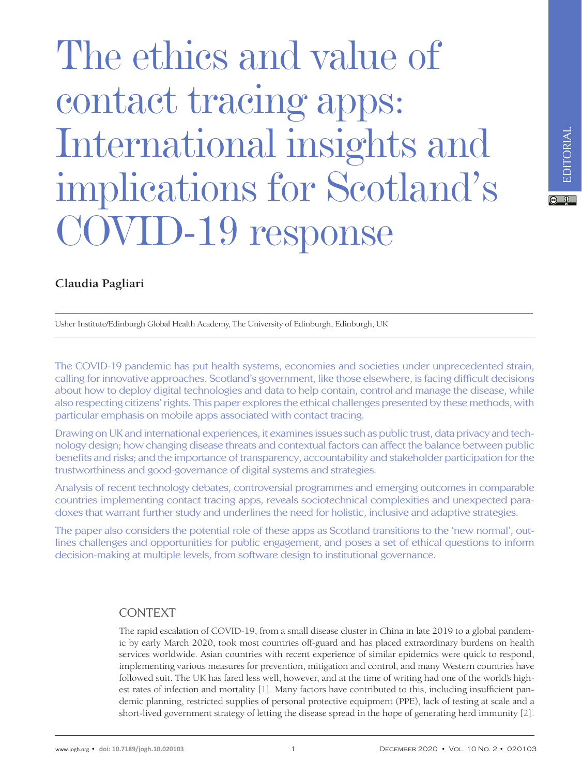### **Claudia Pagliari**

Usher Institute/Edinburgh Global Health Academy, The University of Edinburgh, Edinburgh, UK

The COVID-19 pandemic has put health systems, economies and societies under unprecedented strain, calling for innovative approaches. Scotland's government, like those elsewhere, is facing difficult decisions about how to deploy digital technologies and data to help contain, control and manage the disease, while also respecting citizens' rights. This paper explores the ethical challenges presented by these methods, with particular emphasis on mobile apps associated with contact tracing.

Drawing on UK and international experiences, it examines issues such as public trust, data privacy and technology design; how changing disease threats and contextual factors can affect the balance between public benefits and risks; and the importance of transparency, accountability and stakeholder participation for the trustworthiness and good-governance of digital systems and strategies.

Analysis of recent technology debates, controversial programmes and emerging outcomes in comparable countries implementing contact tracing apps, reveals sociotechnical complexities and unexpected paradoxes that warrant further study and underlines the need for holistic, inclusive and adaptive strategies.

The paper also considers the potential role of these apps as Scotland transitions to the 'new normal', outlines challenges and opportunities for public engagement, and poses a set of ethical questions to inform decision-making at multiple levels, from software design to institutional governance.

#### CONTEXT

The rapid escalation of COVID-19, from a small disease cluster in China in late 2019 to a global pandemic by early March 2020, took most countries off-guard and has placed extraordinary burdens on health services worldwide. Asian countries with recent experience of similar epidemics were quick to respond, implementing various measures for prevention, mitigation and control, and many Western countries have followed suit. The UK has fared less well, however, and at the time of writing had one of the world's highest rates of infection and mortality [\[1](#page-12-0)]. Many factors have contributed to this, including insufficient pandemic planning, restricted supplies of personal protective equipment (PPE), lack of testing at scale and a short-lived government strategy of letting the disease spread in the hope of generating herd immunity [[2](#page-12-1)].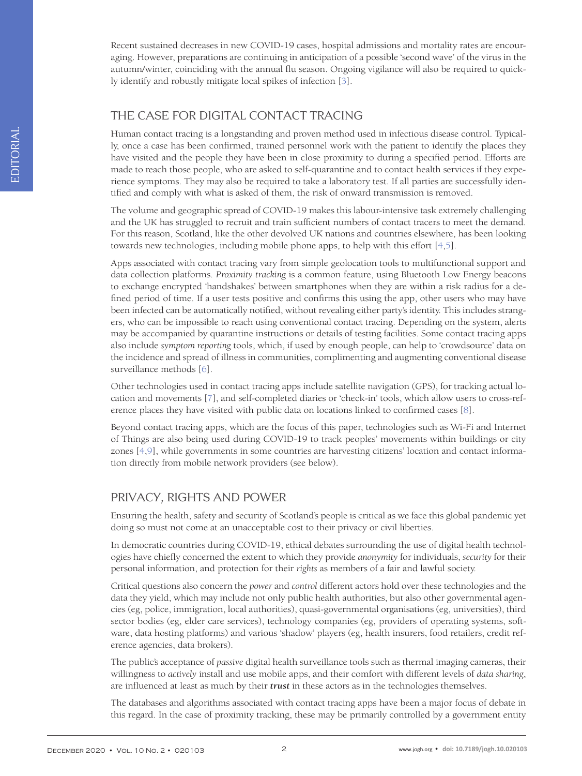Recent sustained decreases in new COVID-19 cases, hospital admissions and mortality rates are encouraging. However, preparations are continuing in anticipation of a possible 'second wave' of the virus in the autumn/winter, coinciding with the annual flu season. Ongoing vigilance will also be required to quickly identify and robustly mitigate local spikes of infection [\[3\]](#page-12-2).

## THE CASE FOR DIGITAL CONTACT TRACING

Human contact tracing is a longstanding and proven method used in infectious disease control. Typically, once a case has been confirmed, trained personnel work with the patient to identify the places they have visited and the people they have been in close proximity to during a specified period. Efforts are made to reach those people, who are asked to self-quarantine and to contact health services if they experience symptoms. They may also be required to take a laboratory test. If all parties are successfully identified and comply with what is asked of them, the risk of onward transmission is removed.

The volume and geographic spread of COVID-19 makes this labour-intensive task extremely challenging and the UK has struggled to recruit and train sufficient numbers of contact tracers to meet the demand. For this reason, Scotland, like the other devolved UK nations and countries elsewhere, has been looking towards new technologies, including mobile phone apps, to help with this effort [\[4](#page-12-3)[,5](#page-12-4)].

Apps associated with contact tracing vary from simple geolocation tools to multifunctional support and data collection platforms. *Proximity tracking* is a common feature, using Bluetooth Low Energy beacons to exchange encrypted 'handshakes' between smartphones when they are within a risk radius for a defined period of time. If a user tests positive and confirms this using the app, other users who may have been infected can be automatically notified, without revealing either party's identity. This includes strangers, who can be impossible to reach using conventional contact tracing. Depending on the system, alerts may be accompanied by quarantine instructions or details of testing facilities. Some contact tracing apps also include *symptom reporting* tools, which, if used by enough people, can help to 'crowdsource' data on the incidence and spread of illness in communities, complimenting and augmenting conventional disease surveillance methods [\[6\]](#page-12-5).

Other technologies used in contact tracing apps include satellite navigation (GPS), for tracking actual location and movements [\[7\]](#page-12-6), and self-completed diaries or 'check-in' tools, which allow users to cross-reference places they have visited with public data on locations linked to confirmed cases [[8\]](#page-12-7).

Beyond contact tracing apps, which are the focus of this paper, technologies such as Wi-Fi and Internet of Things are also being used during COVID-19 to track peoples' movements within buildings or city zones [[4](#page-12-3),[9\]](#page-12-8), while governments in some countries are harvesting citizens' location and contact information directly from mobile network providers (see below).

# PRIVACY, RIGHTS AND POWER

Ensuring the health, safety and security of Scotland's people is critical as we face this global pandemic yet doing so must not come at an unacceptable cost to their privacy or civil liberties.

In democratic countries during COVID-19, ethical debates surrounding the use of digital health technologies have chiefly concerned the extent to which they provide *anonymity* for individuals, *security* for their personal information, and protection for their *rights* as members of a fair and lawful society.

Critical questions also concern the *power* and *control* different actors hold over these technologies and the data they yield, which may include not only public health authorities, but also other governmental agencies (eg, police, immigration, local authorities), quasi-governmental organisations (eg, universities), third sector bodies (eg, elder care services), technology companies (eg, providers of operating systems, software, data hosting platforms) and various 'shadow' players (eg, health insurers, food retailers, credit reference agencies, data brokers).

The public's acceptance of *passive* digital health surveillance tools such as thermal imaging cameras, their willingness to *actively* install and use mobile apps, and their comfort with different levels of *data sharing*, are influenced at least as much by their *trust* in these actors as in the technologies themselves.

The databases and algorithms associated with contact tracing apps have been a major focus of debate in this regard. In the case of proximity tracking, these may be primarily controlled by a government entity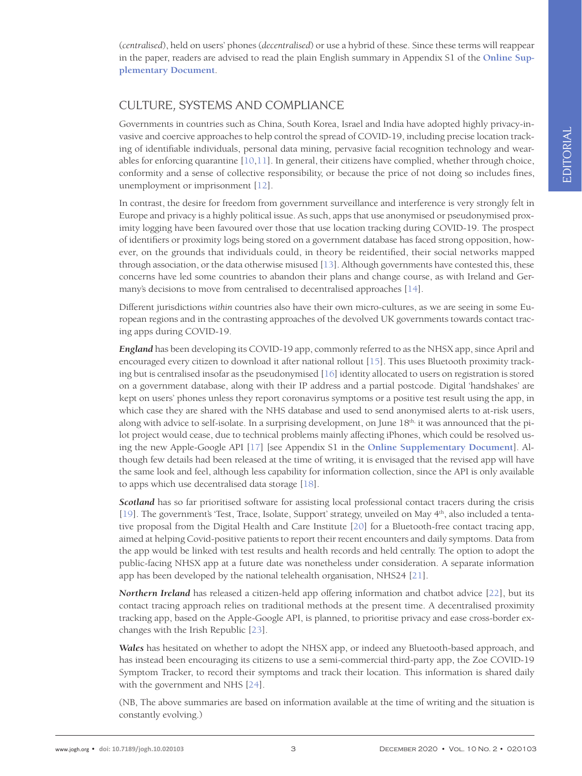(*centralised*), held on users' phones (*decentralised*) or use a hybrid of these. Since these terms will reappear in the paper, readers are advised to read the plain English summary in Appendix S1 of the **[Online Sup](#page-12-9)[plementary Document](#page-12-9)**.

## CULTURE, SYSTEMS AND COMPLIANCE

Governments in countries such as China, South Korea, Israel and India have adopted highly privacy-invasive and coercive approaches to help control the spread of COVID-19, including precise location tracking of identifiable individuals, personal data mining, pervasive facial recognition technology and wearables for enforcing quarantine  $[10,11]$  $[10,11]$  $[10,11]$  $[10,11]$  $[10,11]$ . In general, their citizens have complied, whether through choice, conformity and a sense of collective responsibility, or because the price of not doing so includes fines, unemployment or imprisonment [\[12\]](#page-12-12).

In contrast, the desire for freedom from government surveillance and interference is very strongly felt in Europe and privacy is a highly political issue. As such, apps that use anonymised or pseudonymised proximity logging have been favoured over those that use location tracking during COVID-19. The prospect of identifiers or proximity logs being stored on a government database has faced strong opposition, however, on the grounds that individuals could, in theory be reidentified, their social networks mapped through association, or the data otherwise misused [\[13\]](#page-12-13). Although governments have contested this, these concerns have led some countries to abandon their plans and change course, as with Ireland and Germany's decisions to move from centralised to decentralised approaches [\[14\]](#page-12-14).

Different jurisdictions *within* countries also have their own micro-cultures, as we are seeing in some European regions and in the contrasting approaches of the devolved UK governments towards contact tracing apps during COVID-19.

*England* has been developing its COVID-19 app, commonly referred to as the NHSX app, since April and encouraged every citizen to download it after national rollout [\[15\]](#page-12-15). This uses Bluetooth proximity tracking but is centralised insofar as the pseudonymised [[16](#page-13-0)] identity allocated to users on registration is stored on a government database, along with their IP address and a partial postcode. Digital 'handshakes' are kept on users' phones unless they report coronavirus symptoms or a positive test result using the app, in which case they are shared with the NHS database and used to send anonymised alerts to at-risk users, along with advice to self-isolate. In a surprising development, on June 18<sup>th,</sup> it was announced that the pilot project would cease, due to technical problems mainly affecting iPhones, which could be resolved using the new Apple-Google API [[17\]](#page-13-1) [see Appendix S1 in the **[Online Supplementary Document](#page-12-9)**]. Although few details had been released at the time of writing, it is envisaged that the revised app will have the same look and feel, although less capability for information collection, since the API is only available to apps which use decentralised data storage [\[18](#page-13-2)].

*Scotland* has so far prioritised software for assisting local professional contact tracers during the crisis [\[19\]](#page-13-3). The government's 'Test, Trace, Isolate, Support' strategy, unveiled on May 4th, also included a tentative proposal from the Digital Health and Care Institute [[20\]](#page-13-4) for a Bluetooth-free contact tracing app, aimed at helping Covid-positive patients to report their recent encounters and daily symptoms. Data from the app would be linked with test results and health records and held centrally. The option to adopt the public-facing NHSX app at a future date was nonetheless under consideration. A separate information app has been developed by the national telehealth organisation, NHS24 [[21](#page-13-5)].

*Northern Ireland* has released a citizen-held app offering information and chatbot advice [[22](#page-13-6)], but its contact tracing approach relies on traditional methods at the present time. A decentralised proximity tracking app, based on the Apple-Google API, is planned, to prioritise privacy and ease cross-border exchanges with the Irish Republic [\[23](#page-13-7)].

*Wales* has hesitated on whether to adopt the NHSX app, or indeed any Bluetooth-based approach, and has instead been encouraging its citizens to use a semi-commercial third-party app, the Zoe COVID-19 Symptom Tracker, to record their symptoms and track their location. This information is shared daily with the government and NHS [\[24](#page-13-8)].

(NB, The above summaries are based on information available at the time of writing and the situation is constantly evolving.)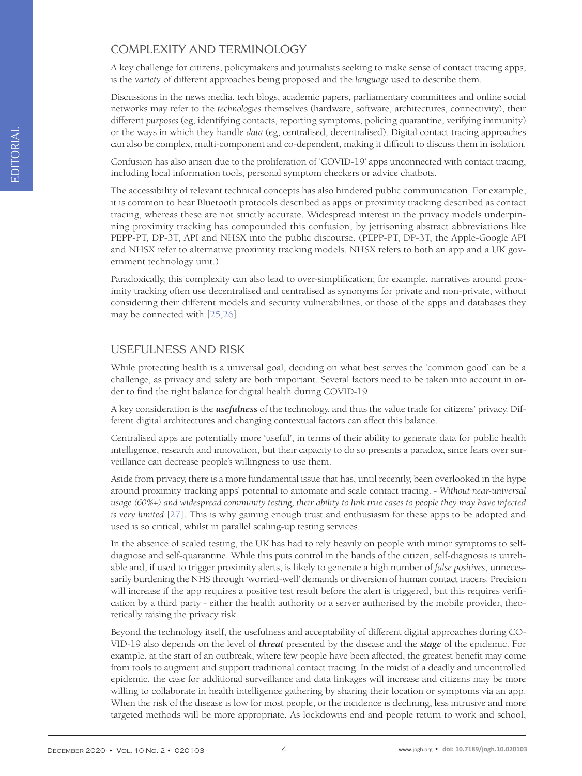## COMPLEXITY AND TERMINOLOGY

A key challenge for citizens, policymakers and journalists seeking to make sense of contact tracing apps, is the *variety* of different approaches being proposed and the *language* used to describe them.

Discussions in the news media, tech blogs, academic papers, parliamentary committees and online social networks may refer to the *technologies* themselves (hardware, software, architectures, connectivity), their different *purposes* (eg, identifying contacts, reporting symptoms, policing quarantine, verifying immunity) or the ways in which they handle *data* (eg, centralised, decentralised). Digital contact tracing approaches can also be complex, multi-component and co-dependent, making it difficult to discuss them in isolation.

Confusion has also arisen due to the proliferation of 'COVID-19' apps unconnected with contact tracing, including local information tools, personal symptom checkers or advice chatbots.

The accessibility of relevant technical concepts has also hindered public communication. For example, it is common to hear Bluetooth protocols described as apps or proximity tracking described as contact tracing, whereas these are not strictly accurate. Widespread interest in the privacy models underpinning proximity tracking has compounded this confusion, by jettisoning abstract abbreviations like PEPP-PT, DP-3T, API and NHSX into the public discourse. (PEPP-PT, DP-3T, the Apple-Google API and NHSX refer to alternative proximity tracking models. NHSX refers to both an app and a UK government technology unit.)

Paradoxically, this complexity can also lead to over-simplification; for example, narratives around proximity tracking often use decentralised and centralised as synonyms for private and non-private, without considering their different models and security vulnerabilities, or those of the apps and databases they may be connected with [\[25](#page-13-9)[,26\]](#page-13-10).

### USEFULNESS AND RISK

While protecting health is a universal goal, deciding on what best serves the 'common good' can be a challenge, as privacy and safety are both important. Several factors need to be taken into account in order to find the right balance for digital health during COVID-19.

A key consideration is the *usefulness* of the technology, and thus the value trade for citizens' privacy. Different digital architectures and changing contextual factors can affect this balance.

Centralised apps are potentially more 'useful', in terms of their ability to generate data for public health intelligence, research and innovation, but their capacity to do so presents a paradox, since fears over surveillance can decrease people's willingness to use them.

Aside from privacy, there is a more fundamental issue that has, until recently, been overlooked in the hype around proximity tracking apps' potential to automate and scale contact tracing. - *Without near-universal usage (60%+) and widespread community testing, their ability to link true cases to people they may have infected is very limited* [\[27\]](#page-13-11). This is why gaining enough trust and enthusiasm for these apps to be adopted and used is so critical, whilst in parallel scaling-up testing services.

In the absence of scaled testing, the UK has had to rely heavily on people with minor symptoms to selfdiagnose and self-quarantine. While this puts control in the hands of the citizen, self-diagnosis is unreliable and, if used to trigger proximity alerts, is likely to generate a high number of *false positives*, unnecessarily burdening the NHS through 'worried-well' demands or diversion of human contact tracers. Precision will increase if the app requires a positive test result before the alert is triggered, but this requires verification by a third party - either the health authority or a server authorised by the mobile provider, theoretically raising the privacy risk.

Beyond the technology itself, the usefulness and acceptability of different digital approaches during CO-VID-19 also depends on the level of *threat* presented by the disease and the *stage* of the epidemic. For example, at the start of an outbreak, where few people have been affected, the greatest benefit may come from tools to augment and support traditional contact tracing. In the midst of a deadly and uncontrolled epidemic, the case for additional surveillance and data linkages will increase and citizens may be more willing to collaborate in health intelligence gathering by sharing their location or symptoms via an app. When the risk of the disease is low for most people, or the incidence is declining, less intrusive and more targeted methods will be more appropriate. As lockdowns end and people return to work and school,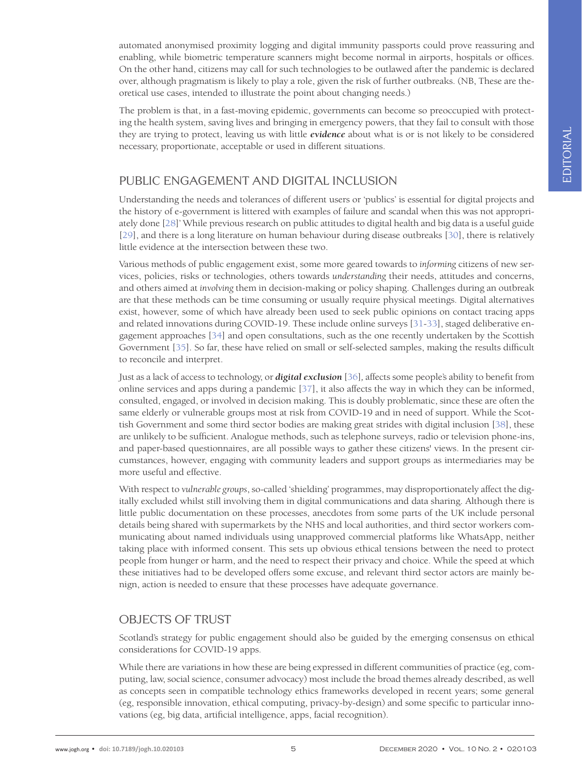automated anonymised proximity logging and digital immunity passports could prove reassuring and enabling, while biometric temperature scanners might become normal in airports, hospitals or offices. On the other hand, citizens may call for such technologies to be outlawed after the pandemic is declared over, although pragmatism is likely to play a role, given the risk of further outbreaks. (NB, These are theoretical use cases, intended to illustrate the point about changing needs.)

The problem is that, in a fast-moving epidemic, governments can become so preoccupied with protecting the health system, saving lives and bringing in emergency powers, that they fail to consult with those they are trying to protect, leaving us with little *evidence* about what is or is not likely to be considered necessary, proportionate, acceptable or used in different situations.

## PUBLIC ENGAGEMENT AND DIGITAL INCLUSION

Understanding the needs and tolerances of different users or 'publics' is essential for digital projects and the history of e-government is littered with examples of failure and scandal when this was not appropriately done [\[28\]](#page-13-12)' While previous research on public attitudes to digital health and big data is a useful guide [\[29\]](#page-13-13), and there is a long literature on human behaviour during disease outbreaks [[30](#page-13-14)], there is relatively little evidence at the intersection between these two.

Various methods of public engagement exist, some more geared towards to *informing* citizens of new services, policies, risks or technologies, others towards *understanding* their needs, attitudes and concerns, and others aimed at *involving* them in decision-making or policy shaping. Challenges during an outbreak are that these methods can be time consuming or usually require physical meetings. Digital alternatives exist, however, some of which have already been used to seek public opinions on contact tracing apps and related innovations during COVID-19. These include online surveys [[31-](#page-13-15)[33\]](#page-13-16), staged deliberative engagement approaches [[34](#page-13-17)] and open consultations, such as the one recently undertaken by the Scottish Government [[35](#page-13-18)]. So far, these have relied on small or self-selected samples, making the results difficult to reconcile and interpret.

Just as a lack of access to technology, or *digital exclusion* [[36](#page-13-19)]*,* affects some people's ability to benefit from online services and apps during a pandemic [[37\]](#page-13-20), it also affects the way in which they can be informed, consulted, engaged, or involved in decision making. This is doubly problematic, since these are often the same elderly or vulnerable groups most at risk from COVID-19 and in need of support. While the Scottish Government and some third sector bodies are making great strides with digital inclusion [[38](#page-13-21)], these are unlikely to be sufficient. Analogue methods, such as telephone surveys, radio or television phone-ins, and paper-based questionnaires, are all possible ways to gather these citizens' views. In the present circumstances, however, engaging with community leaders and support groups as intermediaries may be more useful and effective.

With respect to *vulnerable groups*, so-called 'shielding' programmes, may disproportionately affect the digitally excluded whilst still involving them in digital communications and data sharing. Although there is little public documentation on these processes, anecdotes from some parts of the UK include personal details being shared with supermarkets by the NHS and local authorities, and third sector workers communicating about named individuals using unapproved commercial platforms like WhatsApp, neither taking place with informed consent. This sets up obvious ethical tensions between the need to protect people from hunger or harm, and the need to respect their privacy and choice. While the speed at which these initiatives had to be developed offers some excuse, and relevant third sector actors are mainly benign, action is needed to ensure that these processes have adequate governance.

### OBJECTS OF TRUST

Scotland's strategy for public engagement should also be guided by the emerging consensus on ethical considerations for COVID-19 apps.

While there are variations in how these are being expressed in different communities of practice (eg, computing, law, social science, consumer advocacy) most include the broad themes already described, as well as concepts seen in compatible technology ethics frameworks developed in recent years; some general (eg, responsible innovation, ethical computing, privacy-by-design) and some specific to particular innovations (eg, big data, artificial intelligence, apps, facial recognition).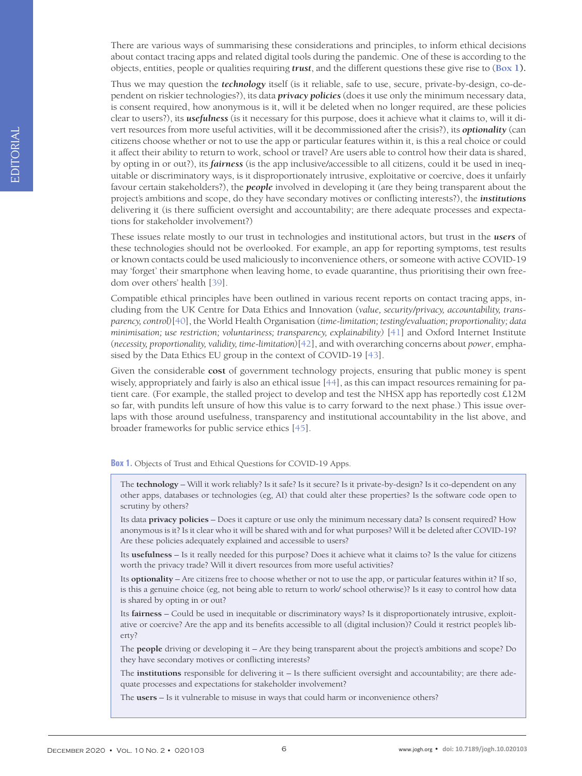There are various ways of summarising these considerations and principles, to inform ethical decisions about contact tracing apps and related digital tools during the pandemic. One of these is according to the objects, entities, people or qualities requiring *trust*, and the different questions these give rise to (**[Box 1](#page-5-0)).**

Thus we may question the *technology* itself (is it reliable, safe to use, secure, private-by-design, co-dependent on riskier technologies?), its data *privacy policies* (does it use only the minimum necessary data, is consent required, how anonymous is it, will it be deleted when no longer required, are these policies clear to users?), its *usefulness* (is it necessary for this purpose, does it achieve what it claims to, will it divert resources from more useful activities, will it be decommissioned after the crisis?), its *optionality* (can citizens choose whether or not to use the app or particular features within it, is this a real choice or could it affect their ability to return to work, school or travel? Are users able to control how their data is shared, by opting in or out?), its *fairness* (is the app inclusive/accessible to all citizens, could it be used in inequitable or discriminatory ways, is it disproportionately intrusive, exploitative or coercive, does it unfairly favour certain stakeholders?), the *people* involved in developing it (are they being transparent about the project's ambitions and scope, do they have secondary motives or conflicting interests?), the *institutions* delivering it (is there sufficient oversight and accountability; are there adequate processes and expectations for stakeholder involvement?)

These issues relate mostly to our trust in technologies and institutional actors, but trust in the *users* of these technologies should not be overlooked. For example, an app for reporting symptoms, test results or known contacts could be used maliciously to inconvenience others, or someone with active COVID-19 may 'forget' their smartphone when leaving home, to evade quarantine, thus prioritising their own freedom over others' health [[39](#page-13-22)].

Compatible ethical principles have been outlined in various recent reports on contact tracing apps, including from the UK Centre for Data Ethics and Innovation (*value, security/privacy, accountability, transparency, control)*[\[40\]](#page-14-0), the World Health Organisation (*time-limitation; testing/evaluation; proportionality; data minimisation; use restriction; voluntariness; transparency, explainability)* [[41](#page-14-1)] and Oxford Internet Institute (*necessity, proportionality, validity, time-limitation)*[\[42\]](#page-14-2), and with overarching concerns about *power*, emphasised by the Data Ethics EU group in the context of COVID-19 [[43](#page-14-3)].

Given the considerable **cost** of government technology projects, ensuring that public money is spent wisely, appropriately and fairly is also an ethical issue [[44](#page-14-4)], as this can impact resources remaining for patient care. (For example, the stalled project to develop and test the NHSX app has reportedly cost £12M so far, with pundits left unsure of how this value is to carry forward to the next phase.) This issue overlaps with those around usefulness, transparency and institutional accountability in the list above, and broader frameworks for public service ethics [\[45\]](#page-14-5).

<span id="page-5-0"></span>**Box 1.** Objects of Trust and Ethical Questions for COVID-19 Apps.

The **technology** – Will it work reliably? Is it safe? Is it secure? Is it private-by-design? Is it co-dependent on any other apps, databases or technologies (eg, AI) that could alter these properties? Is the software code open to scrutiny by others?

Its data **privacy policies** – Does it capture or use only the minimum necessary data? Is consent required? How anonymous is it? Is it clear who it will be shared with and for what purposes? Will it be deleted after COVID-19? Are these policies adequately explained and accessible to users?

Its **usefulness** – Is it really needed for this purpose? Does it achieve what it claims to? Is the value for citizens worth the privacy trade? Will it divert resources from more useful activities?

Its **optionality** – Are citizens free to choose whether or not to use the app, or particular features within it? If so, is this a genuine choice (eg, not being able to return to work/ school otherwise)? Is it easy to control how data is shared by opting in or out?

Its **fairness** – Could be used in inequitable or discriminatory ways? Is it disproportionately intrusive, exploitative or coercive? Are the app and its benefits accessible to all (digital inclusion)? Could it restrict people's liberty?

The **people** driving or developing it – Are they being transparent about the project's ambitions and scope? Do they have secondary motives or conflicting interests?

The **institutions** responsible for delivering it – Is there sufficient oversight and accountability; are there adequate processes and expectations for stakeholder involvement?

The **users** – Is it vulnerable to misuse in ways that could harm or inconvenience others?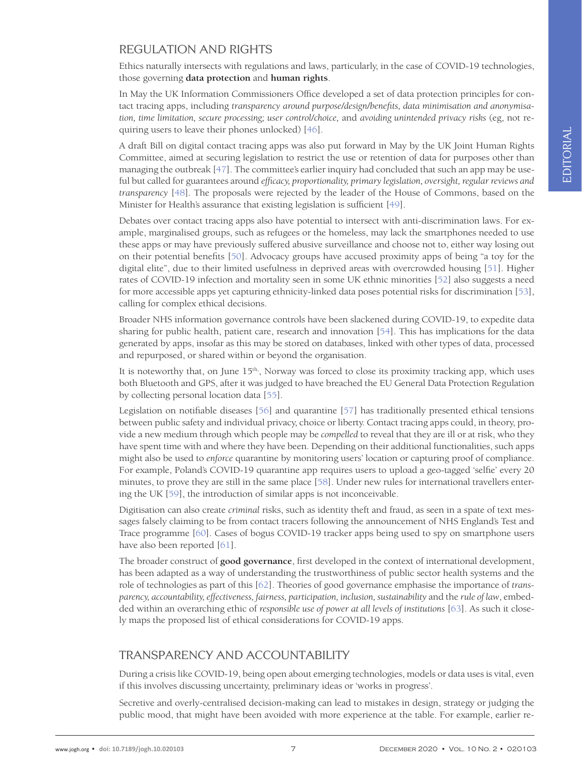# REGULATION AND RIGHTS

Ethics naturally intersects with regulations and laws, particularly, in the case of COVID-19 technologies, those governing **data protection** and **human rights**.

In May the UK Information Commissioners Office developed a set of data protection principles for contact tracing apps, including *transparency around purpose/design/benefits, data minimisation and anonymisation, time limitation, secure processing; user control/choice,* and *avoiding unintended privacy risks* (eg, not requiring users to leave their phones unlocked) [\[46\]](#page-14-6).

A draft Bill on digital contact tracing apps was also put forward in May by the UK Joint Human Rights Committee, aimed at securing legislation to restrict the use or retention of data for purposes other than managing the outbreak [\[47\]](#page-14-7). The committee's earlier inquiry had concluded that such an app may be useful but called for guarantees around *efficacy, proportionality, primary legislation, oversight, regular reviews and transparency* [[48](#page-14-8)]*.* The proposals were rejected by the leader of the House of Commons, based on the Minister for Health's assurance that existing legislation is sufficient [[49](#page-14-9)].

Debates over contact tracing apps also have potential to intersect with anti-discrimination laws. For example, marginalised groups, such as refugees or the homeless, may lack the smartphones needed to use these apps or may have previously suffered abusive surveillance and choose not to, either way losing out on their potential benefits [[50](#page-14-10)]. Advocacy groups have accused proximity apps of being "a toy for the digital elite", due to their limited usefulness in deprived areas with overcrowded housing [[51](#page-14-11)]. Higher rates of COVID-19 infection and mortality seen in some UK ethnic minorities [\[52\]](#page-14-12) also suggests a need for more accessible apps yet capturing ethnicity-linked data poses potential risks for discrimination [\[53](#page-14-13)], calling for complex ethical decisions.

Broader NHS information governance controls have been slackened during COVID-19, to expedite data sharing for public health, patient care, research and innovation [[54](#page-14-14)]. This has implications for the data generated by apps, insofar as this may be stored on databases, linked with other types of data, processed and repurposed, or shared within or beyond the organisation.

It is noteworthy that, on June  $15<sup>th</sup>$ , Norway was forced to close its proximity tracking app, which uses both Bluetooth and GPS, after it was judged to have breached the EU General Data Protection Regulation by collecting personal location data [[55\]](#page-14-15).

Legislation on notifiable diseases [[56](#page-14-16)] and quarantine [[57\]](#page-14-17) has traditionally presented ethical tensions between public safety and individual privacy, choice or liberty. Contact tracing apps could, in theory, provide a new medium through which people may be *compelled* to reveal that they are ill or at risk, who they have spent time with and where they have been. Depending on their additional functionalities, such apps might also be used to *enforce* quarantine by monitoring users' location or capturing proof of compliance. For example, Poland's COVID-19 quarantine app requires users to upload a geo-tagged 'selfie' every 20 minutes, to prove they are still in the same place [[58\]](#page-14-18). Under new rules for international travellers entering the UK [[59](#page-14-19)], the introduction of similar apps is not inconceivable.

Digitisation can also create *criminal* risks, such as identity theft and fraud, as seen in a spate of text messages falsely claiming to be from contact tracers following the announcement of NHS England's Test and Trace programme [\[60\]](#page-14-20). Cases of bogus COVID-19 tracker apps being used to spy on smartphone users have also been reported [\[61\]](#page-14-21).

The broader construct of **good governance**, first developed in the context of international development, has been adapted as a way of understanding the trustworthiness of public sector health systems and the role of technologies as part of this [\[62](#page-14-22)]. Theories of good governance emphasise the importance of *transparency, accountability, effectiveness, fairness, participation, inclusion, sustainability* and the *rule of law*, embedded within an overarching ethic of *responsible use of power at all levels of institutions* [\[63](#page-14-23)]. As such it closely maps the proposed list of ethical considerations for COVID-19 apps.

## TRANSPARENCY AND ACCOUNTABILITY

During a crisis like COVID-19, being open about emerging technologies, models or data uses is vital, even if this involves discussing uncertainty, preliminary ideas or 'works in progress'.

Secretive and overly-centralised decision-making can lead to mistakes in design, strategy or judging the public mood, that might have been avoided with more experience at the table. For example, earlier re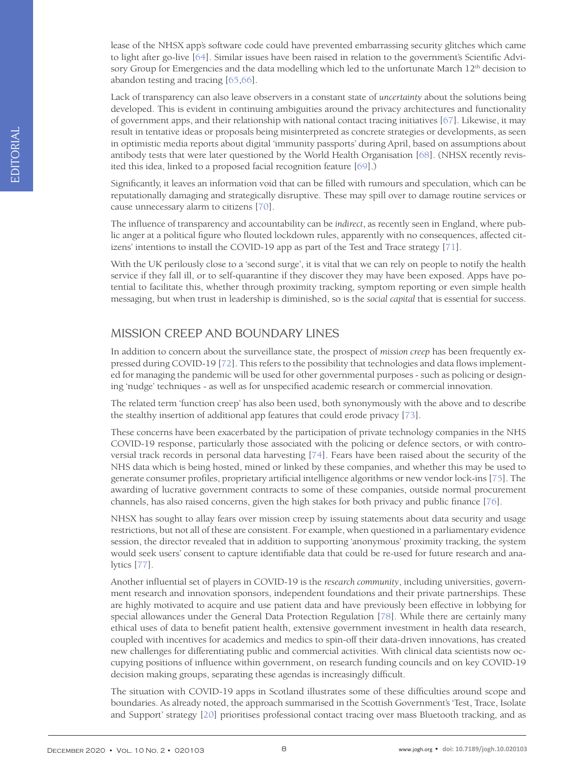lease of the NHSX app's software code could have prevented embarrassing security glitches which came to light after go-live [[64](#page-14-24)]. Similar issues have been raised in relation to the government's Scientific Advisory Group for Emergencies and the data modelling which led to the unfortunate March 12<sup>th</sup> decision to abandon testing and tracing [[65](#page-15-0)[,66\]](#page-15-1).

Lack of transparency can also leave observers in a constant state of *uncertainty* about the solutions being developed. This is evident in continuing ambiguities around the privacy architectures and functionality of government apps, and their relationship with national contact tracing initiatives [[67](#page-15-2)]. Likewise, it may result in tentative ideas or proposals being misinterpreted as concrete strategies or developments, as seen in optimistic media reports about digital 'immunity passports' during April, based on assumptions about antibody tests that were later questioned by the World Health Organisation [\[68\]](#page-15-3). (NHSX recently revisited this idea, linked to a proposed facial recognition feature [\[69](#page-15-4)].)

Significantly, it leaves an information void that can be filled with rumours and speculation, which can be reputationally damaging and strategically disruptive. These may spill over to damage routine services or cause unnecessary alarm to citizens [\[70](#page-15-5)].

The influence of transparency and accountability can be *indirect*, as recently seen in England, where public anger at a political figure who flouted lockdown rules, apparently with no consequences, affected citizens' intentions to install the COVID-19 app as part of the Test and Trace strategy [\[71\]](#page-15-6).

With the UK perilously close to a 'second surge', it is vital that we can rely on people to notify the health service if they fall ill, or to self-quarantine if they discover they may have been exposed. Apps have potential to facilitate this, whether through proximity tracking, symptom reporting or even simple health messaging, but when trust in leadership is diminished, so is the *social capital* that is essential for success.

#### MISSION CREEP AND BOUNDARY LINES

In addition to concern about the surveillance state, the prospect of *mission creep* has been frequently expressed during COVID-19 [\[72](#page-15-7)]. This refers to the possibility that technologies and data flows implemented for managing the pandemic will be used for other governmental purposes - such as policing or designing 'nudge' techniques - as well as for unspecified academic research or commercial innovation.

The related term 'function creep' has also been used, both synonymously with the above and to describe the stealthy insertion of additional app features that could erode privacy [\[73](#page-15-8)].

These concerns have been exacerbated by the participation of private technology companies in the NHS COVID-19 response, particularly those associated with the policing or defence sectors, or with controversial track records in personal data harvesting [\[74\]](#page-15-9). Fears have been raised about the security of the NHS data which is being hosted, mined or linked by these companies, and whether this may be used to generate consumer profiles, proprietary artificial intelligence algorithms or new vendor lock-ins [[75\]](#page-15-10). The awarding of lucrative government contracts to some of these companies, outside normal procurement channels, has also raised concerns, given the high stakes for both privacy and public finance [[76](#page-15-11)].

NHSX has sought to allay fears over mission creep by issuing statements about data security and usage restrictions, but not all of these are consistent. For example, when questioned in a parliamentary evidence session, the director revealed that in addition to supporting 'anonymous' proximity tracking, the system would seek users' consent to capture identifiable data that could be re-used for future research and analytics [[77](#page-15-12)].

Another influential set of players in COVID-19 is the *research community*, including universities, government research and innovation sponsors, independent foundations and their private partnerships. These are highly motivated to acquire and use patient data and have previously been effective in lobbying for special allowances under the General Data Protection Regulation [\[78](#page-15-13)]. While there are certainly many ethical uses of data to benefit patient health, extensive government investment in health data research, coupled with incentives for academics and medics to spin-off their data-driven innovations, has created new challenges for differentiating public and commercial activities. With clinical data scientists now occupying positions of influence within government, on research funding councils and on key COVID-19 decision making groups, separating these agendas is increasingly difficult.

The situation with COVID-19 apps in Scotland illustrates some of these difficulties around scope and boundaries. As already noted, the approach summarised in the Scottish Government's 'Test, Trace, Isolate and Support' strategy [\[20\]](#page-13-4) prioritises professional contact tracing over mass Bluetooth tracking, and as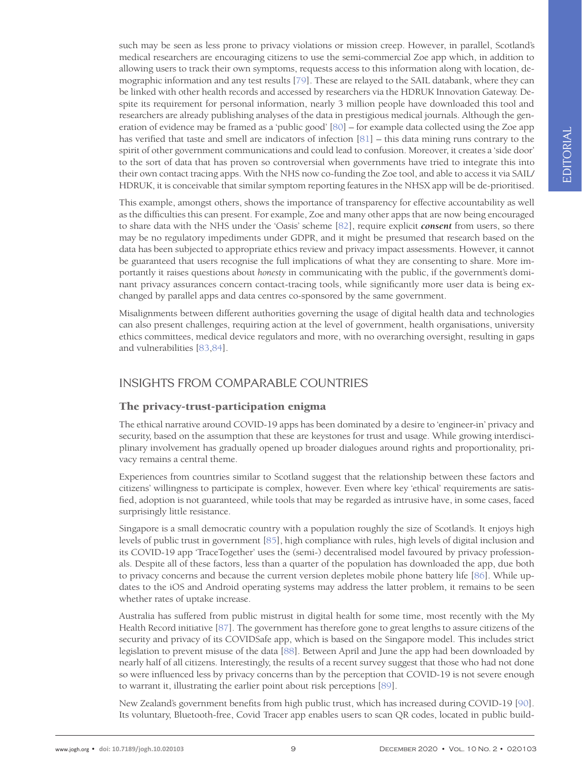such may be seen as less prone to privacy violations or mission creep. However, in parallel, Scotland's medical researchers are encouraging citizens to use the semi-commercial Zoe app which, in addition to allowing users to track their own symptoms, requests access to this information along with location, demographic information and any test results [\[79\]](#page-15-14). These are relayed to the SAIL databank, where they can be linked with other health records and accessed by researchers via the HDRUK Innovation Gateway. Despite its requirement for personal information, nearly 3 million people have downloaded this tool and researchers are already publishing analyses of the data in prestigious medical journals. Although the generation of evidence may be framed as a 'public good' [[80](#page-15-15)] – for example data collected using the Zoe app has verified that taste and smell are indicators of infection [[81\]](#page-15-16) – this data mining runs contrary to the spirit of other government communications and could lead to confusion. Moreover, it creates a 'side door' to the sort of data that has proven so controversial when governments have tried to integrate this into their own contact tracing apps. With the NHS now co-funding the Zoe tool, and able to access it via SAIL/ HDRUK, it is conceivable that similar symptom reporting features in the NHSX app will be de-prioritised.

This example, amongst others, shows the importance of transparency for effective accountability as well as the difficulties this can present. For example, Zoe and many other apps that are now being encouraged to share data with the NHS under the 'Oasis' scheme [\[82](#page-15-17)], require explicit *consent* from users, so there may be no regulatory impediments under GDPR, and it might be presumed that research based on the data has been subjected to appropriate ethics review and privacy impact assessments. However, it cannot be guaranteed that users recognise the full implications of what they are consenting to share. More importantly it raises questions about *honesty* in communicating with the public, if the government's dominant privacy assurances concern contact-tracing tools, while significantly more user data is being exchanged by parallel apps and data centres co-sponsored by the same government.

Misalignments between different authorities governing the usage of digital health data and technologies can also present challenges, requiring action at the level of government, health organisations, university ethics committees, medical device regulators and more, with no overarching oversight, resulting in gaps and vulnerabilities [[83](#page-15-18)[,84\]](#page-15-19).

### INSIGHTS FROM COMPARABLE COUNTRIES

#### The privacy-trust-participation enigma

The ethical narrative around COVID-19 apps has been dominated by a desire to 'engineer-in' privacy and security, based on the assumption that these are keystones for trust and usage. While growing interdisciplinary involvement has gradually opened up broader dialogues around rights and proportionality, privacy remains a central theme.

Experiences from countries similar to Scotland suggest that the relationship between these factors and citizens' willingness to participate is complex, however. Even where key 'ethical' requirements are satisfied, adoption is not guaranteed, while tools that may be regarded as intrusive have, in some cases, faced surprisingly little resistance.

Singapore is a small democratic country with a population roughly the size of Scotland's. It enjoys high levels of public trust in government [\[85](#page-15-20)], high compliance with rules, high levels of digital inclusion and its COVID-19 app 'TraceTogether' uses the (semi-) decentralised model favoured by privacy professionals. Despite all of these factors, less than a quarter of the population has downloaded the app, due both to privacy concerns and because the current version depletes mobile phone battery life [\[86](#page-15-21)]. While updates to the iOS and Android operating systems may address the latter problem, it remains to be seen whether rates of uptake increase.

Australia has suffered from public mistrust in digital health for some time, most recently with the My Health Record initiative [\[87](#page-15-22)]. The government has therefore gone to great lengths to assure citizens of the security and privacy of its COVIDSafe app, which is based on the Singapore model. This includes strict legislation to prevent misuse of the data [[88](#page-15-23)]. Between April and June the app had been downloaded by nearly half of all citizens. Interestingly, the results of a recent survey suggest that those who had not done so were influenced less by privacy concerns than by the perception that COVID-19 is not severe enough to warrant it, illustrating the earlier point about risk perceptions [\[89\]](#page-15-24).

New Zealand's government benefits from high public trust, which has increased during COVID-19 [[90\]](#page-16-0). Its voluntary, Bluetooth-free, Covid Tracer app enables users to scan QR codes, located in public build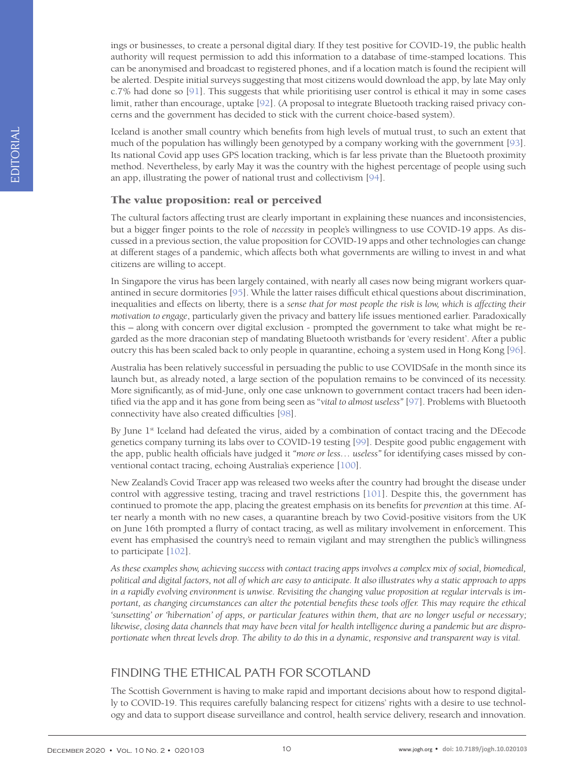ings or businesses, to create a personal digital diary. If they test positive for COVID-19, the public health authority will request permission to add this information to a database of time-stamped locations. This can be anonymised and broadcast to registered phones, and if a location match is found the recipient will be alerted. Despite initial surveys suggesting that most citizens would download the app, by late May only c.7% had done so [[91](#page-16-1)]. This suggests that while prioritising user control is ethical it may in some cases limit, rather than encourage, uptake [[92](#page-16-2)]. (A proposal to integrate Bluetooth tracking raised privacy concerns and the government has decided to stick with the current choice-based system).

Iceland is another small country which benefits from high levels of mutual trust, to such an extent that much of the population has willingly been genotyped by a company working with the government [[93](#page-16-3)]. Its national Covid app uses GPS location tracking, which is far less private than the Bluetooth proximity method. Nevertheless, by early May it was the country with the highest percentage of people using such an app, illustrating the power of national trust and collectivism [[94](#page-16-4)].

#### The value proposition: real or perceived

The cultural factors affecting trust are clearly important in explaining these nuances and inconsistencies, but a bigger finger points to the role of *necessity* in people's willingness to use COVID-19 apps. As discussed in a previous section, the value proposition for COVID-19 apps and other technologies can change at different stages of a pandemic, which affects both what governments are willing to invest in and what citizens are willing to accept.

In Singapore the virus has been largely contained, with nearly all cases now being migrant workers quarantined in secure dormitories [\[95](#page-16-5)]. While the latter raises difficult ethical questions about discrimination, inequalities and effects on liberty, there is a *sense that for most people the risk is low, which is affecting their motivation to engage*, particularly given the privacy and battery life issues mentioned earlier. Paradoxically this – along with concern over digital exclusion - prompted the government to take what might be regarded as the more draconian step of mandating Bluetooth wristbands for 'every resident'. After a public outcry this has been scaled back to only people in quarantine, echoing a system used in Hong Kong [[96](#page-16-6)].

Australia has been relatively successful in persuading the public to use COVIDSafe in the month since its launch but, as already noted, a large section of the population remains to be convinced of its necessity. More significantly, as of mid-June, only one case unknown to government contact tracers had been identified via the app and it has gone from being seen as "*vital to almost useless"* [\[97](#page-16-7)]. Problems with Bluetooth connectivity have also created difficulties [[98\]](#page-16-8).

By June 1<sup>st</sup> Iceland had defeated the virus, aided by a combination of contact tracing and the DEecode genetics company turning its labs over to COVID-19 testing [\[99\]](#page-16-9). Despite good public engagement with the app, public health officials have judged it *"more or less… useless"* for identifying cases missed by conventional contact tracing, echoing Australia's experience [\[100](#page-16-10)].

New Zealand's Covid Tracer app was released two weeks after the country had brought the disease under control with aggressive testing, tracing and travel restrictions [[101\]](#page-16-11). Despite this, the government has continued to promote the app, placing the greatest emphasis on its benefits for *prevention* at this time. After nearly a month with no new cases, a quarantine breach by two Covid-positive visitors from the UK on June 16th prompted a flurry of contact tracing, as well as military involvement in enforcement. This event has emphasised the country's need to remain vigilant and may strengthen the public's willingness to participate [[102\]](#page-16-12).

*As these examples show, achieving success with contact tracing apps involves a complex mix of social, biomedical, political and digital factors, not all of which are easy to anticipate. It also illustrates why a static approach to apps in a rapidly evolving environment is unwise. Revisiting the changing value proposition at regular intervals is important, as changing circumstances can alter the potential benefits these tools offer. This may require the ethical 'sunsetting' or 'hibernation' of apps, or particular features within them, that are no longer useful or necessary; likewise, closing data channels that may have been vital for health intelligence during a pandemic but are disproportionate when threat levels drop. The ability to do this in a dynamic, responsive and transparent way is vital.*

# FINDING THE ETHICAL PATH FOR SCOTLAND

The Scottish Government is having to make rapid and important decisions about how to respond digitally to COVID-19. This requires carefully balancing respect for citizens' rights with a desire to use technology and data to support disease surveillance and control, health service delivery, research and innovation.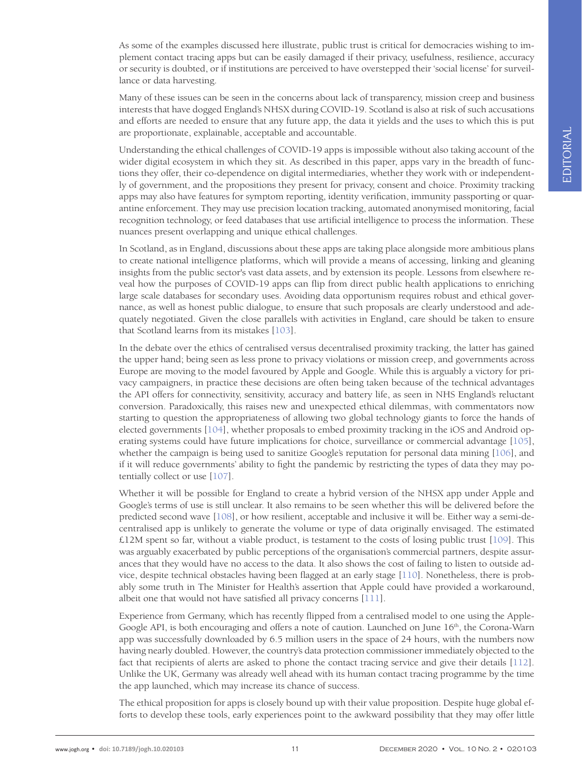As some of the examples discussed here illustrate, public trust is critical for democracies wishing to implement contact tracing apps but can be easily damaged if their privacy, usefulness, resilience, accuracy or security is doubted, or if institutions are perceived to have overstepped their 'social license' for surveillance or data harvesting.

Many of these issues can be seen in the concerns about lack of transparency, mission creep and business interests that have dogged England's NHSX during COVID-19. Scotland is also at risk of such accusations and efforts are needed to ensure that any future app, the data it yields and the uses to which this is put are proportionate, explainable, acceptable and accountable.

Understanding the ethical challenges of COVID-19 apps is impossible without also taking account of the wider digital ecosystem in which they sit. As described in this paper, apps vary in the breadth of functions they offer, their co-dependence on digital intermediaries, whether they work with or independently of government, and the propositions they present for privacy, consent and choice. Proximity tracking apps may also have features for symptom reporting, identity verification, immunity passporting or quarantine enforcement. They may use precision location tracking, automated anonymised monitoring, facial recognition technology, or feed databases that use artificial intelligence to process the information. These nuances present overlapping and unique ethical challenges.

In Scotland, as in England, discussions about these apps are taking place alongside more ambitious plans to create national intelligence platforms, which will provide a means of accessing, linking and gleaning insights from the public sector's vast data assets, and by extension its people. Lessons from elsewhere reveal how the purposes of COVID-19 apps can flip from direct public health applications to enriching large scale databases for secondary uses. Avoiding data opportunism requires robust and ethical governance, as well as honest public dialogue, to ensure that such proposals are clearly understood and adequately negotiated. Given the close parallels with activities in England, care should be taken to ensure that Scotland learns from its mistakes [\[103](#page-16-13)].

In the debate over the ethics of centralised versus decentralised proximity tracking, the latter has gained the upper hand; being seen as less prone to privacy violations or mission creep, and governments across Europe are moving to the model favoured by Apple and Google. While this is arguably a victory for privacy campaigners, in practice these decisions are often being taken because of the technical advantages the API offers for connectivity, sensitivity, accuracy and battery life, as seen in NHS England's reluctant conversion. Paradoxically, this raises new and unexpected ethical dilemmas, with commentators now starting to question the appropriateness of allowing two global technology giants to force the hands of elected governments [\[104](#page-16-14)], whether proposals to embed proximity tracking in the iOS and Android operating systems could have future implications for choice, surveillance or commercial advantage [\[105](#page-16-15)], whether the campaign is being used to sanitize Google's reputation for personal data mining [[106\]](#page-16-16), and if it will reduce governments' ability to fight the pandemic by restricting the types of data they may potentially collect or use [[107\]](#page-16-17).

Whether it will be possible for England to create a hybrid version of the NHSX app under Apple and Google's terms of use is still unclear. It also remains to be seen whether this will be delivered before the predicted second wave [\[108](#page-16-18)], or how resilient, acceptable and inclusive it will be. Either way a semi-decentralised app is unlikely to generate the volume or type of data originally envisaged. The estimated £12M spent so far, without a viable product, is testament to the costs of losing public trust [\[109](#page-16-19)]. This was arguably exacerbated by public perceptions of the organisation's commercial partners, despite assurances that they would have no access to the data. It also shows the cost of failing to listen to outside advice, despite technical obstacles having been flagged at an early stage [[110](#page-16-20)]. Nonetheless, there is probably some truth in The Minister for Health's assertion that Apple could have provided a workaround, albeit one that would not have satisfied all privacy concerns [[111\]](#page-16-21).

Experience from Germany, which has recently flipped from a centralised model to one using the Apple-Google API, is both encouraging and offers a note of caution. Launched on June  $16<sup>th</sup>$ , the Corona-Warn app was successfully downloaded by 6.5 million users in the space of 24 hours, with the numbers now having nearly doubled. However, the country's data protection commissioner immediately objected to the fact that recipients of alerts are asked to phone the contact tracing service and give their details [\[112\]](#page-16-22). Unlike the UK, Germany was already well ahead with its human contact tracing programme by the time the app launched, which may increase its chance of success.

The ethical proposition for apps is closely bound up with their value proposition. Despite huge global efforts to develop these tools, early experiences point to the awkward possibility that they may offer little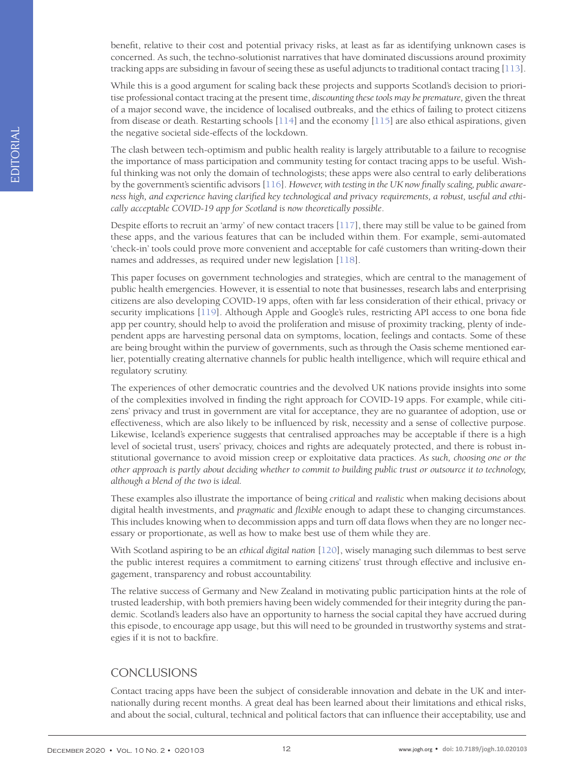benefit, relative to their cost and potential privacy risks, at least as far as identifying unknown cases is concerned. As such, the techno-solutionist narratives that have dominated discussions around proximity tracking apps are subsiding in favour of seeing these as useful adjuncts to traditional contact tracing [[113](#page-16-23)].

While this is a good argument for scaling back these projects and supports Scotland's decision to prioritise professional contact tracing at the present time, *discounting these tools may be premature,* given the threat of a major second wave, the incidence of localised outbreaks, and the ethics of failing to protect citizens from disease or death. Restarting schools [\[114\]](#page-17-0) and the economy [\[115](#page-17-1)] are also ethical aspirations, given the negative societal side-effects of the lockdown.

The clash between tech-optimism and public health reality is largely attributable to a failure to recognise the importance of mass participation and community testing for contact tracing apps to be useful. Wishful thinking was not only the domain of technologists; these apps were also central to early deliberations by the government's scientific advisors [[116\]](#page-17-2). *However, with testing in the UK now finally scaling, public awareness high, and experience having clarified key technological and privacy requirements, a robust, useful and ethically acceptable COVID-19 app for Scotland is now theoretically possible*.

Despite efforts to recruit an 'army' of new contact tracers [\[117](#page-17-3)], there may still be value to be gained from these apps, and the various features that can be included within them. For example, semi-automated 'check-in' tools could prove more convenient and acceptable for café customers than writing-down their names and addresses, as required under new legislation [\[118](#page-17-4)].

This paper focuses on government technologies and strategies, which are central to the management of public health emergencies. However, it is essential to note that businesses, research labs and enterprising citizens are also developing COVID-19 apps, often with far less consideration of their ethical, privacy or security implications [\[119](#page-17-5)]. Although Apple and Google's rules, restricting API access to one bona fide app per country, should help to avoid the proliferation and misuse of proximity tracking, plenty of independent apps are harvesting personal data on symptoms, location, feelings and contacts. Some of these are being brought within the purview of governments, such as through the Oasis scheme mentioned earlier, potentially creating alternative channels for public health intelligence, which will require ethical and regulatory scrutiny.

The experiences of other democratic countries and the devolved UK nations provide insights into some of the complexities involved in finding the right approach for COVID-19 apps. For example, while citizens' privacy and trust in government are vital for acceptance, they are no guarantee of adoption, use or effectiveness, which are also likely to be influenced by risk, necessity and a sense of collective purpose. Likewise, Iceland's experience suggests that centralised approaches may be acceptable if there is a high level of societal trust, users' privacy, choices and rights are adequately protected, and there is robust institutional governance to avoid mission creep or exploitative data practices. *As such, choosing one or the other approach is partly about deciding whether to commit to building public trust or outsource it to technology, although a blend of the two is ideal.*

These examples also illustrate the importance of being *critical* and *realistic* when making decisions about digital health investments, and *pragmatic* and *flexible* enough to adapt these to changing circumstances. This includes knowing when to decommission apps and turn off data flows when they are no longer necessary or proportionate, as well as how to make best use of them while they are.

With Scotland aspiring to be an *ethical digital nation* [[120\]](#page-17-6), wisely managing such dilemmas to best serve the public interest requires a commitment to earning citizens' trust through effective and inclusive engagement, transparency and robust accountability.

The relative success of Germany and New Zealand in motivating public participation hints at the role of trusted leadership, with both premiers having been widely commended for their integrity during the pandemic. Scotland's leaders also have an opportunity to harness the social capital they have accrued during this episode, to encourage app usage, but this will need to be grounded in trustworthy systems and strategies if it is not to backfire.

#### CONCLUSIONS

Contact tracing apps have been the subject of considerable innovation and debate in the UK and internationally during recent months. A great deal has been learned about their limitations and ethical risks, and about the social, cultural, technical and political factors that can influence their acceptability, use and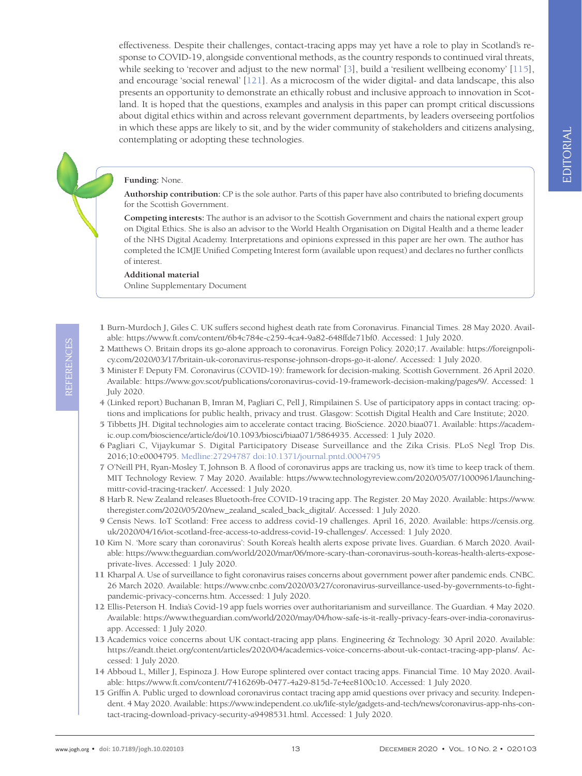effectiveness. Despite their challenges, contact-tracing apps may yet have a role to play in Scotland's response to COVID-19, alongside conventional methods, as the country responds to continued viral threats, while seeking to 'recover and adjust to the new normal' [\[3](#page-12-2)], build a 'resilient wellbeing economy' [\[115\]](#page-17-1), and encourage 'social renewal' [\[121](#page-17-7)]. As a microcosm of the wider digital- and data landscape, this also presents an opportunity to demonstrate an ethically robust and inclusive approach to innovation in Scotland. It is hoped that the questions, examples and analysis in this paper can prompt critical discussions about digital ethics within and across relevant government departments, by leaders overseeing portfolios in which these apps are likely to sit, and by the wider community of stakeholders and citizens analysing, contemplating or adopting these technologies.

#### **Funding:** None.

**Authorship contribution:** CP is the sole author. Parts of this paper have also contributed to briefing documents for the Scottish Government.

**Competing interests:** The author is an advisor to the Scottish Government and chairs the national expert group on Digital Ethics. She is also an advisor to the World Health Organisation on Digital Health and a theme leader of the NHS Digital Academy. Interpretations and opinions expressed in this paper are her own. The author has completed the ICMJE Unified Competing Interest form (available upon request) and declares no further conflicts of interest.

#### <span id="page-12-9"></span>**Additional material**

[Online Supplementary Document](http://jogh.org/documents/issue202001/jogh-10-020103-s001.pdf)

- <span id="page-12-0"></span> 1 Burn-Murdoch J, Giles C. UK suffers second highest death rate from Coronavirus. Financial Times. 28 May 2020. Available: https://www.ft.com/content/6b4c784e-c259-4ca4-9a82-648ffde71bf0. Accessed: 1 July 2020.
- <span id="page-12-1"></span> 2 Matthews O. Britain drops its go-alone approach to coronavirus. Foreign Policy. 2020;17. Available: [https://foreignpoli](https://foreignpolicy.com/2020/03/17/britain-uk-coronavirus-response-johnson-drops-go-it-alone/)[cy.com/2020/03/17/britain-uk-coronavirus-response-johnson-drops-go-it-alone/](https://foreignpolicy.com/2020/03/17/britain-uk-coronavirus-response-johnson-drops-go-it-alone/). Accessed: 1 July 2020.
- <span id="page-12-2"></span> 3 Minister F. Deputy FM. Coronavirus (COVID-19): framework for decision-making. Scottish Government. 26 April 2020. Available: https://www.gov.scot/publications/coronavirus-covid-19-framework-decision-making/pages/9/. Accessed: 1 July 2020.
- <span id="page-12-3"></span> 4 (Linked report) Buchanan B, Imran M, Pagliari C, Pell J, Rimpilainen S. Use of participatory apps in contact tracing: options and implications for public health, privacy and trust. Glasgow: Scottish Digital Health and Care Institute; 2020.
- <span id="page-12-4"></span> 5 Tibbetts JH. Digital technologies aim to accelerate contact tracing. BioScience. 2020.biaa071. Available: [https://academ](https://academic.oup.com/bioscience/article/doi/10.1093/biosci/biaa071/5864935)[ic.oup.com/bioscience/article/doi/10.1093/biosci/biaa071/5864935](https://academic.oup.com/bioscience/article/doi/10.1093/biosci/biaa071/5864935). Accessed: 1 July 2020.
- <span id="page-12-5"></span> 6 Pagliari C, Vijaykumar S. Digital Participatory Disease Surveillance and the Zika Crisis. PLoS Negl Trop Dis. 2016;10:e0004795. [Medline:27294787](https://www.ncbi.nlm.nih.gov/entrez/query.fcgi?cmd=Retrieve&db=PubMed&list_uids=27294787&dopt=Abstract) [doi:10.1371/journal.pntd.0004795](https://doi.org/10.1371/journal.pntd.0004795)
- <span id="page-12-6"></span>7 O'Neill PH, Ryan-Mosley T, Johnson B. A flood of coronavirus apps are tracking us, now it's time to keep track of them. MIT Technology Review. 7 May 2020. Available: [https://www.technologyreview.com/2020/05/07/1000961/launching](https://www.technologyreview.com/2020/05/07/1000961/launching-mittr-covid-tracing-tracker/)[mittr-covid-tracing-tracker/.](https://www.technologyreview.com/2020/05/07/1000961/launching-mittr-covid-tracing-tracker/) Accessed: 1 July 2020.
- <span id="page-12-7"></span> 8 Harb R. New Zealand releases Bluetooth-free COVID-19 tracing app. The Register. 20 May 2020. Available: [https://www.](https://www.theregister.com/2020/05/20/new_zealand_scaled_back_digital/) [theregister.com/2020/05/20/new\\_zealand\\_scaled\\_back\\_digital/](https://www.theregister.com/2020/05/20/new_zealand_scaled_back_digital/). Accessed: 1 July 2020.
- <span id="page-12-8"></span> 9 Censis News. IoT Scotland: Free access to address covid-19 challenges. April 16, 2020. Available: [https://censis.org.](https://censis.org.uk/2020/04/16/iot-scotland-free-access-to-address-covid-19-challenges/) [uk/2020/04/16/iot-scotland-free-access-to-address-covid-19-challenges/.](https://censis.org.uk/2020/04/16/iot-scotland-free-access-to-address-covid-19-challenges/) Accessed: 1 July 2020.
- <span id="page-12-10"></span>10 Kim N. 'More scary than coronavirus': South Korea's health alerts expose private lives. Guardian. 6 March 2020. Available: [https://www.theguardian.com/world/2020/mar/06/more-scary-than-coronavirus-south-koreas-health-alerts-expose](https://www.theguardian.com/world/2020/mar/06/more-scary-than-coronavirus-south-koreas-health-alerts-expose-private-lives)[private-lives.](https://www.theguardian.com/world/2020/mar/06/more-scary-than-coronavirus-south-koreas-health-alerts-expose-private-lives) Accessed: 1 July 2020.
- <span id="page-12-11"></span>11 Kharpal A. Use of surveillance to fight coronavirus raises concerns about government power after pandemic ends. CNBC. 26 March 2020. Available: [https://www.cnbc.com/2020/03/27/coronavirus-surveillance-used-by-governments-to-fight](https://www.cnbc.com/2020/03/27/coronavirus-surveillance-used-by-governments-to-fight-pandemic-privacy-concerns.htm)[pandemic-privacy-concerns.htm](https://www.cnbc.com/2020/03/27/coronavirus-surveillance-used-by-governments-to-fight-pandemic-privacy-concerns.htm). Accessed: 1 July 2020.
- <span id="page-12-12"></span>12 Ellis-Peterson H. India's Covid-19 app fuels worries over authoritarianism and surveillance. The Guardian. 4 May 2020. Available: [https://www.theguardian.com/world/2020/may/04/how-safe-is-it-really-privacy-fears-over-india-coronavirus](https://www.theguardian.com/world/2020/may/04/how-safe-is-it-really-privacy-fears-over-india-coronavirus-app)[app.](https://www.theguardian.com/world/2020/may/04/how-safe-is-it-really-privacy-fears-over-india-coronavirus-app) Accessed: 1 July 2020.
- <span id="page-12-13"></span>13 Academics voice concerns about UK contact-tracing app plans. Engineering & Technology. 30 April 2020. Available: https://eandt.theiet.org/content/articles/2020/04/academics-voice-concerns-about-uk-contact-tracing-app-plans/. Accessed: 1 July 2020.
- <span id="page-12-14"></span>14 Abboud L, Miller J, Espinoza J. How Europe splintered over contact tracing apps. Financial Time. 10 May 2020. Available: <https://www.ft.com/content/7416269b-0477-4a29-815d-7e4ee8100c10>. Accessed: 1 July 2020.
- <span id="page-12-15"></span>15 Griffin A. Public urged to download coronavirus contact tracing app amid questions over privacy and security. Independent. 4 May 2020. Available: [https://www.independent.co.uk/life-style/gadgets-and-tech/news/coronavirus-app-nhs-con](https://www.independent.co.uk/life-style/gadgets-and-tech/news/coronavirus-app-nhs-contact-tracing-download-privacy-security-a9498531.html)[tact-tracing-download-privacy-security-a9498531.html](https://www.independent.co.uk/life-style/gadgets-and-tech/news/coronavirus-app-nhs-contact-tracing-download-privacy-security-a9498531.html). Accessed: 1 July 2020.

REFERENCES

**REFERENCES**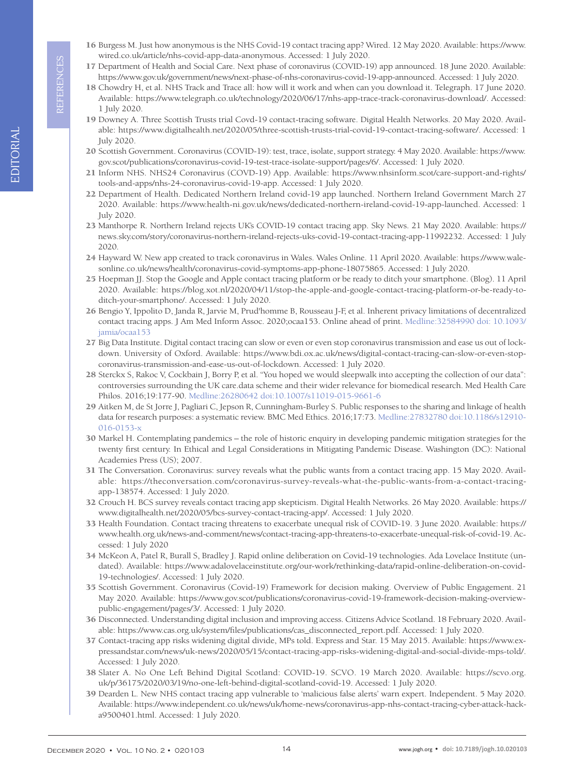- <span id="page-13-0"></span>16 Burgess M. Just how anonymous is the NHS Covid-19 contact tracing app? Wired. 12 May 2020. Available: [https://www.](https://www.wired.co.uk/article/nhs-covid-app-data-anonymous) [wired.co.uk/article/nhs-covid-app-data-anonymous.](https://www.wired.co.uk/article/nhs-covid-app-data-anonymous) Accessed: 1 July 2020.
- <span id="page-13-1"></span>17 Department of Health and Social Care. Next phase of coronavirus (COVID-19) app announced. 18 June 2020. Available: https://www.gov.uk/government/news/next-phase-of-nhs-coronavirus-covid-19-app-announced. Accessed: 1 July 2020.
- <span id="page-13-2"></span>18 Chowdry H, et al. NHS Track and Trace all: how will it work and when can you download it. Telegraph. 17 June 2020. Available: https://www.telegraph.co.uk/technology/2020/06/17/nhs-app-trace-track-coronavirus-download/. Accessed: 1 July 2020.
- <span id="page-13-3"></span>19 Downey A. Three Scottish Trusts trial Covd-19 contact-tracing software. Digital Health Networks. 20 May 2020. Available: https://www.digitalhealth.net/2020/05/three-scottish-trusts-trial-covid-19-contact-tracing-software/. Accessed: 1 July 2020.
- <span id="page-13-4"></span>20 Scottish Government. Coronavirus (COVID-19): test, trace, isolate, support strategy. 4 May 2020. Available: [https://www.](https://www.gov.scot/publications/coronavirus-covid-19-test-trace-isolate-support/pages/6/) [gov.scot/publications/coronavirus-covid-19-test-trace-isolate-support/pages/6/](https://www.gov.scot/publications/coronavirus-covid-19-test-trace-isolate-support/pages/6/). Accessed: 1 July 2020.
- <span id="page-13-5"></span>21 Inform NHS. NHS24 Coronavirus (COVD-19) App. Available: [https://www.nhsinform.scot/care-support-and-rights/](https://www.nhsinform.scot/care-support-and-rights/tools-and-apps/nhs-24-coronavirus-covid-19-app) [tools-and-apps/nhs-24-coronavirus-covid-19-app.](https://www.nhsinform.scot/care-support-and-rights/tools-and-apps/nhs-24-coronavirus-covid-19-app) Accessed: 1 July 2020.
- <span id="page-13-6"></span>22 Department of Health. Dedicated Northern Ireland covid-19 app launched. Northern Ireland Government March 27 2020. Available: https://www.health-ni.gov.uk/news/dedicated-northern-ireland-covid-19-app-launched. Accessed: 1 July 2020.
- <span id="page-13-7"></span>23 Manthorpe R. Northern Ireland rejects UK's COVID-19 contact tracing app. Sky News. 21 May 2020. Available: [https://](https://news.sky.com/story/coronavirus-northern-ireland-rejects-uks-covid-19-contact-tracing-app-11992232) [news.sky.com/story/coronavirus-northern-ireland-rejects-uks-covid-19-contact-tracing-app-11992232.](https://news.sky.com/story/coronavirus-northern-ireland-rejects-uks-covid-19-contact-tracing-app-11992232) Accessed: 1 July 2020.
- <span id="page-13-8"></span>24 Hayward W. New app created to track coronavirus in Wales. Wales Online. 11 April 2020. Available: [https://www.wale](https://www.walesonline.co.uk/news/health/coronavirus-covid-symptoms-app-phone-18075865)[sonline.co.uk/news/health/coronavirus-covid-symptoms-app-phone-18075865.](https://www.walesonline.co.uk/news/health/coronavirus-covid-symptoms-app-phone-18075865) Accessed: 1 July 2020.
- <span id="page-13-9"></span>25 Hoepman JJ. Stop the Google and Apple contact tracing platform or be ready to ditch your smartphone. (Blog). 11 April 2020. Available: [https://blog.xot.nl/2020/04/11/stop-the-apple-and-google-contact-tracing-platform-or-be-ready-to](https://blog.xot.nl/2020/04/11/stop-the-apple-and-google-contact-tracing-platform-or-be-ready-to-ditch-your-smartphone/)[ditch-your-smartphone/](https://blog.xot.nl/2020/04/11/stop-the-apple-and-google-contact-tracing-platform-or-be-ready-to-ditch-your-smartphone/). Accessed: 1 July 2020.
- <span id="page-13-10"></span>26 Bengio Y, Ippolito D, Janda R, Jarvie M, Prud'homme B, Rousseau J-F, et al. Inherent privacy limitations of decentralized contact tracing apps. J Am Med Inform Assoc. 2020;ocaa153. Online ahead of print. [Medline:32584990](https://www.ncbi.nlm.nih.gov/entrez/query.fcgi?cmd=Retrieve&db=PubMed&list_uids=32584990&dopt=Abstract) doi: [10.1093/](https://doi.org/10.1093/jamia/ocaa153) [jamia/ocaa153](https://doi.org/10.1093/jamia/ocaa153)
- <span id="page-13-11"></span>27 Big Data Institute. Digital contact tracing can slow or even or even stop coronavirus transmission and ease us out of lockdown. University of Oxford. Available: [https://www.bdi.ox.ac.uk/news/digital-contact-tracing-can-slow-or-even-stop](https://www.bdi.ox.ac.uk/news/digital-contact-tracing-can-slow-or-even-stop-coronavirus-transmission-and-ease-us-out-of-lockdown)[coronavirus-transmission-and-ease-us-out-of-lockdown](https://www.bdi.ox.ac.uk/news/digital-contact-tracing-can-slow-or-even-stop-coronavirus-transmission-and-ease-us-out-of-lockdown). Accessed: 1 July 2020.
- <span id="page-13-12"></span>28 Sterckx S, Rakoc V, Cockbain J, Borry P, et al. "You hoped we would sleepwalk into accepting the collection of our data": controversies surrounding the UK care.data scheme and their wider relevance for biomedical research. Med Health Care Philos. 2016;19:177-90[. Medline:26280642](https://www.ncbi.nlm.nih.gov/entrez/query.fcgi?cmd=Retrieve&db=PubMed&list_uids=26280642&dopt=Abstract) [doi:10.1007/s11019-015-9661-6](https://doi.org/10.1007/s11019-015-9661-6)
- <span id="page-13-13"></span>29 Aitken M, de St Jorre J, Pagliari C, Jepson R, Cunningham-Burley S. Public responses to the sharing and linkage of health data for research purposes: a systematic review. BMC Med Ethics. 2016;17:73[. Medline:27832780](https://www.ncbi.nlm.nih.gov/entrez/query.fcgi?cmd=Retrieve&db=PubMed&list_uids=27832780&dopt=Abstract) [doi:10.1186/s12910-](https://doi.org/10.1186/s12910-016-0153-x) [016-0153-x](https://doi.org/10.1186/s12910-016-0153-x)
- <span id="page-13-14"></span>30 Markel H. Contemplating pandemics – the role of historic enquiry in developing pandemic mitigation strategies for the twenty first century. In Ethical and Legal Considerations in Mitigating Pandemic Disease. Washington (DC): National Academies Press (US); 2007.
- <span id="page-13-15"></span>31 The Conversation. Coronavirus: survey reveals what the public wants from a contact tracing app. 15 May 2020. Available: [https://theconversation.com/coronavirus-survey-reveals-what-the-public-wants-from-a-contact-tracing](https://theconversation.com/coronavirus-survey-reveals-what-the-public-wants-from-a-contact-tracing-app-138574)[app-138574.](https://theconversation.com/coronavirus-survey-reveals-what-the-public-wants-from-a-contact-tracing-app-138574) Accessed: 1 July 2020.
- 32 Crouch H. BCS survey reveals contact tracing app skepticism. Digital Health Networks. 26 May 2020. Available: [https://](https://www.digitalhealth.net/2020/05/bcs-survey-contact-tracing-app/) [www.digitalhealth.net/2020/05/bcs-survey-contact-tracing-app/](https://www.digitalhealth.net/2020/05/bcs-survey-contact-tracing-app/). Accessed: 1 July 2020.
- <span id="page-13-16"></span>33 Health Foundation. Contact tracing threatens to exacerbate unequal risk of COVID-19. 3 June 2020. Available: [https://](https://www.health.org.uk/news-and-comment/news/contact-tracing-app-threatens-to-exacerbate-unequal-risk-of-covid-19) [www.health.org.uk/news-and-comment/news/contact-tracing-app-threatens-to-exacerbate-unequal-risk-of-covid-19.](https://www.health.org.uk/news-and-comment/news/contact-tracing-app-threatens-to-exacerbate-unequal-risk-of-covid-19) Accessed: 1 July 2020
- <span id="page-13-17"></span>34 McKeon A, Patel R, Burall S, Bradley J. Rapid online deliberation on Covid-19 technologies. Ada Lovelace Institute (undated). Available: [https://www.adalovelaceinstitute.org/our-work/rethinking-data/rapid-online-deliberation-on-covid-](https://www.adalovelaceinstitute.org/our-work/rethinking-data/rapid-online-deliberation-on-covid-19-technologies/)[19-technologies/](https://www.adalovelaceinstitute.org/our-work/rethinking-data/rapid-online-deliberation-on-covid-19-technologies/). Accessed: 1 July 2020.
- <span id="page-13-18"></span>35 Scottish Government. Coronavirus (Covid-19) Framework for decision making. Overview of Public Engagement. 21 May 2020. Available: [https://www.gov.scot/publications/coronavirus-covid-19-framework-decision-making-overview](https://www.gov.scot/publications/coronavirus-covid-19-framework-decision-making-overview-public-engagement/pages/3/)[public-engagement/pages/3/](https://www.gov.scot/publications/coronavirus-covid-19-framework-decision-making-overview-public-engagement/pages/3/). Accessed: 1 July 2020.
- <span id="page-13-19"></span>36 Disconnected. Understanding digital inclusion and improving access. Citizens Advice Scotland. 18 February 2020. Available: https://www.cas.org.uk/system/files/publications/cas\_disconnected\_report.pdf. Accessed: 1 July 2020.
- <span id="page-13-20"></span>37 Contact-tracing app risks widening digital divide, MPs told. Express and Star. 15 May 2015. Available: [https://www.ex](https://www.expressandstar.com/news/uk-news/2020/05/15/contact-tracing-app-risks-widening-digital-and-social-divide-mps-told/)[pressandstar.com/news/uk-news/2020/05/15/contact-tracing-app-risks-widening-digital-and-social-divide-mps-told/](https://www.expressandstar.com/news/uk-news/2020/05/15/contact-tracing-app-risks-widening-digital-and-social-divide-mps-told/). Accessed: 1 July 2020.
- <span id="page-13-21"></span>38 Slater A. No One Left Behind Digital Scotland: COVID-19. SCVO. 19 March 2020. Available: [https://scvo.org.](https://scvo.org.uk/p/36175/2020/03/19/no-one-left-behind-digital-scotland-covid-19) [uk/p/36175/2020/03/19/no-one-left-behind-digital-scotland-covid-19.](https://scvo.org.uk/p/36175/2020/03/19/no-one-left-behind-digital-scotland-covid-19) Accessed: 1 July 2020.
- <span id="page-13-22"></span>39 Dearden L. New NHS contact tracing app vulnerable to 'malicious false alerts' warn expert. Independent. 5 May 2020. Available: [https://www.independent.co.uk/news/uk/home-news/coronavirus-app-nhs-contact-tracing-cyber-attack-hack](https://www.independent.co.uk/news/uk/home-news/coronavirus-app-nhs-contact-tracing-cyber-attack-hack-a9500401.html)[a9500401.html](https://www.independent.co.uk/news/uk/home-news/coronavirus-app-nhs-contact-tracing-cyber-attack-hack-a9500401.html). Accessed: 1 July 2020.

**REFERENCES** REFERENCES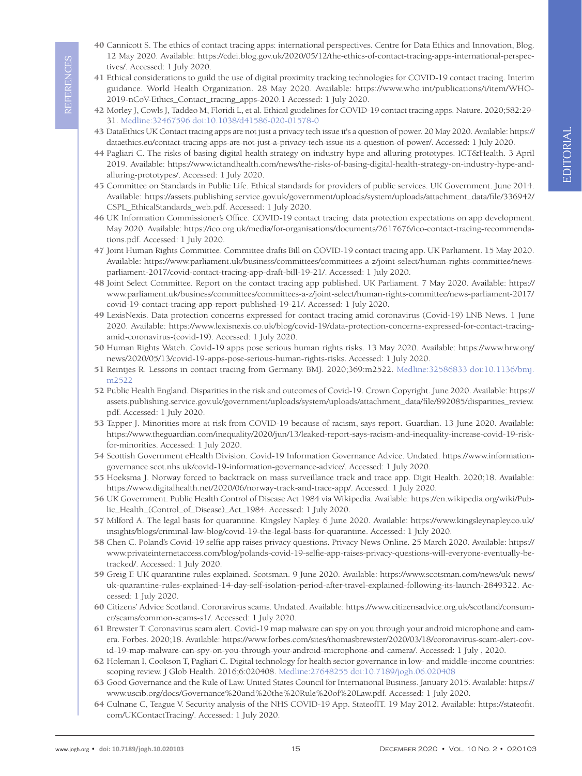- <span id="page-14-0"></span>40 Cannicott S. The ethics of contact tracing apps: international perspectives. Centre for Data Ethics and Innovation, Blog. 12 May 2020. Available: [https://cdei.blog.gov.uk/2020/05/12/the-ethics-of-contact-tracing-apps-international-perspec](https://cdei.blog.gov.uk/2020/05/12/the-ethics-of-contact-tracing-apps-international-perspectives/)[tives/](https://cdei.blog.gov.uk/2020/05/12/the-ethics-of-contact-tracing-apps-international-perspectives/). Accessed: 1 July 2020.
- <span id="page-14-1"></span>41 Ethical considerations to guild the use of digital proximity tracking technologies for COVID-19 contact tracing. Interim guidance. World Health Organization. 28 May 2020. Available: [https://www.who.int/publications/i/item/WHO-](https://www.who.int/publications/i/item/WHO-2019-nCoV-Ethics_Contact_tracing_apps-2020)[2019-nCoV-Ethics\\_Contact\\_tracing\\_apps-2020](https://www.who.int/publications/i/item/WHO-2019-nCoV-Ethics_Contact_tracing_apps-2020).1 Accessed: 1 July 2020.
- <span id="page-14-2"></span>42 Morley J, Cowls J, Taddeo M, Floridi L, et al. Ethical guidelines for COVID-19 contact tracing apps. Nature. 2020;582:29- 31. [Medline:32467596](https://www.ncbi.nlm.nih.gov/entrez/query.fcgi?cmd=Retrieve&db=PubMed&list_uids=32467596&dopt=Abstract) [doi:10.1038/d41586-020-01578-0](https://doi.org/10.1038/d41586-020-01578-0)
- <span id="page-14-3"></span>43 DataEthics UK Contact tracing apps are not just a privacy tech issue it's a question of power. 20 May 2020. Available: [https://](https://dataethics.eu/contact-tracing-apps-are-not-just-a-privacy-tech-issue-its-a-question-of-power/) [dataethics.eu/contact-tracing-apps-are-not-just-a-privacy-tech-issue-its-a-question-of-power/.](https://dataethics.eu/contact-tracing-apps-are-not-just-a-privacy-tech-issue-its-a-question-of-power/) Accessed: 1 July 2020.
- <span id="page-14-4"></span>44 Pagliari C. The risks of basing digital health strategy on industry hype and alluring prototypes. ICT&Health. 3 April 2019. Available: [https://www.ictandhealth.com/news/the-risks-of-basing-digital-health-strategy-on-industry-hype-and](https://www.ictandhealth.com/news/the-risks-of-basing-digital-health-strategy-on-industry-hype-and-alluring-prototypes/)[alluring-prototypes/.](https://www.ictandhealth.com/news/the-risks-of-basing-digital-health-strategy-on-industry-hype-and-alluring-prototypes/) Accessed: 1 July 2020.
- <span id="page-14-5"></span>45 Committee on Standards in Public Life. Ethical standards for providers of public services. UK Government. June 2014. Available: [https://assets.publishing.service.gov.uk/government/uploads/system/uploads/attachment\\_data/file/336942/](https://assets.publishing.service.gov.uk/government/uploads/system/uploads/attachment_data/file/336942/CSPL_EthicalStandards_web.pdf) [CSPL\\_EthicalStandards\\_web.pdf.](https://assets.publishing.service.gov.uk/government/uploads/system/uploads/attachment_data/file/336942/CSPL_EthicalStandards_web.pdf) Accessed: 1 July 2020.
- <span id="page-14-6"></span>46 UK Information Commissioner's Office. COVID-19 contact tracing: data protection expectations on app development. May 2020. Available: [https://ico.org.uk/media/for-organisations/documents/2617676/ico-contact-tracing-recommenda](https://ico.org.uk/media/for-organisations/documents/2617676/ico-contact-tracing-recommendations.pdf)[tions.pdf](https://ico.org.uk/media/for-organisations/documents/2617676/ico-contact-tracing-recommendations.pdf). Accessed: 1 July 2020.
- <span id="page-14-7"></span>47 Joint Human Rights Committee. Committee drafts Bill on COVID-19 contact tracing app. UK Parliament. 15 May 2020. Available: [https://www.parliament.uk/business/committees/committees-a-z/joint-select/human-rights-committee/news](https://www.parliament.uk/business/committees/committees-a-z/joint-select/human-rights-committee/news-parliament-2017/covid-contact-tracing-app-draft-bill-19-21/)[parliament-2017/covid-contact-tracing-app-draft-bill-19-21/.](https://www.parliament.uk/business/committees/committees-a-z/joint-select/human-rights-committee/news-parliament-2017/covid-contact-tracing-app-draft-bill-19-21/) Accessed: 1 July 2020.
- <span id="page-14-8"></span>48 Joint Select Committee. Report on the contact tracing app published. UK Parliament. 7 May 2020. Available: [https://](https://www.parliament.uk/business/committees/committees-a-z/joint-select/human-rights-committee/news-parliament-2017/covid-19-contact-tracing-app-report-published-19-21/) [www.parliament.uk/business/committees/committees-a-z/joint-select/human-rights-committee/news-parliament-2017/](https://www.parliament.uk/business/committees/committees-a-z/joint-select/human-rights-committee/news-parliament-2017/covid-19-contact-tracing-app-report-published-19-21/) [covid-19-contact-tracing-app-report-published-19-21/.](https://www.parliament.uk/business/committees/committees-a-z/joint-select/human-rights-committee/news-parliament-2017/covid-19-contact-tracing-app-report-published-19-21/) Accessed: 1 July 2020.
- <span id="page-14-9"></span>49 LexisNexis. Data protection concerns expressed for contact tracing amid coronavirus (Covid-19) LNB News. 1 June 2020. Available: [https://www.lexisnexis.co.uk/blog/covid-19/data-protection-concerns-expressed-for-contact-tracing](https://www.lexisnexis.co.uk/blog/covid-19/data-protection-concerns-expressed-for-contact-tracing-amid-coronavirus-(covid-19))[amid-coronavirus-\(covid-19\)](https://www.lexisnexis.co.uk/blog/covid-19/data-protection-concerns-expressed-for-contact-tracing-amid-coronavirus-(covid-19)). Accessed: 1 July 2020.
- <span id="page-14-10"></span>50 Human Rights Watch. Covid-19 apps pose serious human rights risks. 13 May 2020. Available: [https://www.hrw.org/](https://www.hrw.org/news/2020/05/13/covid-19-apps-pose-serious-human-rights-risks) [news/2020/05/13/covid-19-apps-pose-serious-human-rights-risks](https://www.hrw.org/news/2020/05/13/covid-19-apps-pose-serious-human-rights-risks). Accessed: 1 July 2020.
- <span id="page-14-11"></span>51 Reintjes R. Lessons in contact tracing from Germany. BMJ. 2020;369:m2522. [Medline:32586833](https://www.ncbi.nlm.nih.gov/entrez/query.fcgi?cmd=Retrieve&db=PubMed&list_uids=32586833&dopt=Abstract) [doi:10.1136/bmj.](https://doi.org/10.1136/bmj.m2522) [m2522](https://doi.org/10.1136/bmj.m2522)
- <span id="page-14-12"></span>52 Public Health England. Disparities in the risk and outcomes of Covid-19. Crown Copyright. June 2020. Available: [https://](https://assets.publishing.service.gov.uk/government/uploads/system/uploads/attachment_data/file/892085/disparities_review.pdf) [assets.publishing.service.gov.uk/government/uploads/system/uploads/attachment\\_data/file/892085/disparities\\_review.](https://assets.publishing.service.gov.uk/government/uploads/system/uploads/attachment_data/file/892085/disparities_review.pdf) [pdf.](https://assets.publishing.service.gov.uk/government/uploads/system/uploads/attachment_data/file/892085/disparities_review.pdf) Accessed: 1 July 2020.
- <span id="page-14-13"></span>53 Tapper J. Minorities more at risk from COVID-19 because of racism, says report. Guardian. 13 June 2020. Available: [https://www.theguardian.com/inequality/2020/jun/13/leaked-report-says-racism-and-inequality-increase-covid-19-risk](https://www.theguardian.com/inequality/2020/jun/13/leaked-report-says-racism-and-inequality-increase-covid-19-risk-for-minorities)[for-minorities.](https://www.theguardian.com/inequality/2020/jun/13/leaked-report-says-racism-and-inequality-increase-covid-19-risk-for-minorities) Accessed: 1 July 2020.
- <span id="page-14-14"></span>54 Scottish Government eHealth Division. Covid-19 Information Governance Advice. Undated. [https://www.information](https://www.informationgovernance.scot.nhs.uk/covid-19-information-governance-advice/)[governance.scot.nhs.uk/covid-19-information-governance-advice/.](https://www.informationgovernance.scot.nhs.uk/covid-19-information-governance-advice/) Accessed: 1 July 2020.
- <span id="page-14-15"></span>55 Hoeksma J. Norway forced to backtrack on mass surveillance track and trace app. Digit Health. 2020;18. Available: https://www.digitalhealth.net/2020/06/norway-track-and-trace-app/. Accessed: 1 July 2020.
- <span id="page-14-16"></span>56 UK Government. Public Health Control of Disease Act 1984 via Wikipedia. Available: [https://en.wikipedia.org/wiki/Pub](https://en.wikipedia.org/wiki/Public_Health_(Control_of_Disease)_Act_1984)[lic\\_Health\\_\(Control\\_of\\_Disease\)\\_Act\\_1984.](https://en.wikipedia.org/wiki/Public_Health_(Control_of_Disease)_Act_1984) Accessed: 1 July 2020.
- <span id="page-14-17"></span>57 Milford A. The legal basis for quarantine. Kingsley Napley. 6 June 2020. Available: [https://www.kingsleynapley.co.uk/](https://www.kingsleynapley.co.uk/insights/blogs/criminal-law-blog/covid-19-the-legal-basis-for-quarantine) [insights/blogs/criminal-law-blog/covid-19-the-legal-basis-for-quarantine.](https://www.kingsleynapley.co.uk/insights/blogs/criminal-law-blog/covid-19-the-legal-basis-for-quarantine) Accessed: 1 July 2020.
- <span id="page-14-18"></span>58 Chen C. Poland's Covid-19 selfie app raises privacy questions. Privacy News Online. 25 March 2020. Available: [https://](https://www.privateinternetaccess.com/blog/polands-covid-19-selfie-app-raises-privacy-questions-will-everyone-eventually-be-tracked/) [www.privateinternetaccess.com/blog/polands-covid-19-selfie-app-raises-privacy-questions-will-everyone-eventually-be](https://www.privateinternetaccess.com/blog/polands-covid-19-selfie-app-raises-privacy-questions-will-everyone-eventually-be-tracked/)[tracked/](https://www.privateinternetaccess.com/blog/polands-covid-19-selfie-app-raises-privacy-questions-will-everyone-eventually-be-tracked/). Accessed: 1 July 2020.
- <span id="page-14-19"></span>59 Greig F. UK quarantine rules explained. Scotsman. 9 June 2020. Available: [https://www.scotsman.com/news/uk-news/](https://www.scotsman.com/news/uk-news/uk-quarantine-rules-explained-14-day-self-isolation-period-after-travel-explained-following-its-launch-2849322) [uk-quarantine-rules-explained-14-day-self-isolation-period-after-travel-explained-following-its-launch-2849322](https://www.scotsman.com/news/uk-news/uk-quarantine-rules-explained-14-day-self-isolation-period-after-travel-explained-following-its-launch-2849322). Accessed: 1 July 2020.
- <span id="page-14-20"></span>60 Citizens' Advice Scotland. Coronavirus scams. Undated. Available: [https://www.citizensadvice.org.uk/scotland/consum](https://www.citizensadvice.org.uk/scotland/consumer/scams/common-scams-s1/)[er/scams/common-scams-s1/.](https://www.citizensadvice.org.uk/scotland/consumer/scams/common-scams-s1/) Accessed: 1 July 2020.
- <span id="page-14-21"></span>61 Brewster T. Coronavirus scam alert. Covid-19 map malware can spy on you through your android microphone and camera. Forbes. 2020;18. Available: [https://www.forbes.com/sites/thomasbrewster/2020/03/18/coronavirus-scam-alert-cov](https://www.forbes.com/sites/thomasbrewster/2020/03/18/coronavirus-scam-alert-covid-19-map-malware-can-spy-on-you-through-your-android-microphone-and-camera/)[id-19-map-malware-can-spy-on-you-through-your-android-microphone-and-camera/](https://www.forbes.com/sites/thomasbrewster/2020/03/18/coronavirus-scam-alert-covid-19-map-malware-can-spy-on-you-through-your-android-microphone-and-camera/). Accessed: 1 July , 2020.
- <span id="page-14-22"></span>62 Holeman I, Cookson T, Pagliari C. Digital technology for health sector governance in low- and middle-income countries: scoping review. J Glob Health. 2016;6:020408. [Medline:27648255](https://www.ncbi.nlm.nih.gov/entrez/query.fcgi?cmd=Retrieve&db=PubMed&list_uids=27648255&dopt=Abstract) [doi:10.7189/jogh.06.020408](https://doi.org/10.7189/jogh.06.020408)
- <span id="page-14-23"></span>63 Good Governance and the Rule of Law. United States Council for International Business. January 2015. Available: [https://](https://www.uscib.org/docs/Governance%20and%20the%20Rule%20of%20Law.pdf) [www.uscib.org/docs/Governance%20and%20the%20Rule%20of%20Law.pdf.](https://www.uscib.org/docs/Governance%20and%20the%20Rule%20of%20Law.pdf) Accessed: 1 July 2020.
- <span id="page-14-24"></span>64 Culnane C, Teague V. Security analysis of the NHS COVID-19 App. StateofIT. 19 May 2012. Available: [https://stateofit.](https://stateofit.com/UKContactTracing/) [com/UKContactTracing/.](https://stateofit.com/UKContactTracing/) Accessed: 1 July 2020.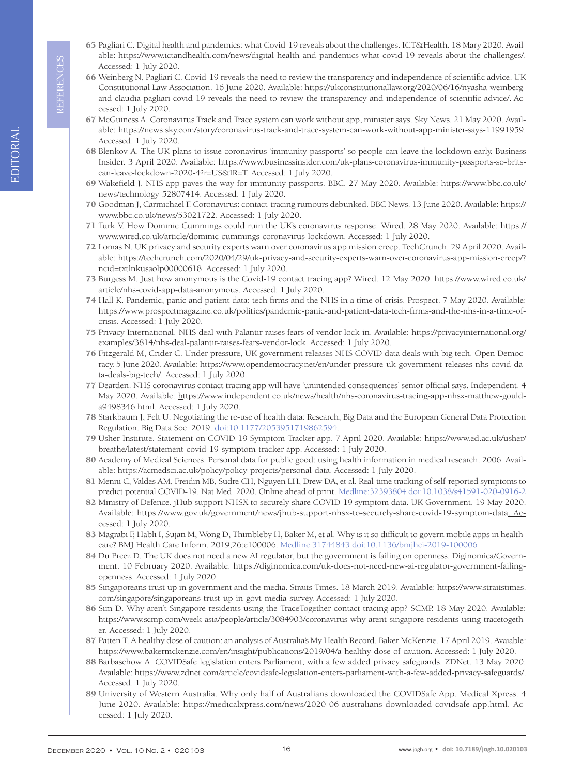- <span id="page-15-0"></span>65 Pagliari C. Digital health and pandemics: what Covid-19 reveals about the challenges. ICT&Health. 18 Mary 2020. Available: https://www.ictandhealth.com/news/digital-health-and-pandemics-what-covid-19-reveals-about-the-challenges/. Accessed: 1 July 2020.
- <span id="page-15-1"></span>66 Weinberg N, Pagliari C. Covid-19 reveals the need to review the transparency and independence of scientific advice. UK Constitutional Law Association. 16 June 2020. Available: https://ukconstitutionallaw.org/2020/06/16/nyasha-weinbergand-claudia-pagliari-covid-19-reveals-the-need-to-review-the-transparency-and-independence-of-scientific-advice/. Accessed: 1 July 2020.
- <span id="page-15-2"></span>67 McGuiness A. Coronavirus Track and Trace system can work without app, minister says. Sky News. 21 May 2020. Available: https://news.sky.com/story/coronavirus-track-and-trace-system-can-work-without-app-minister-says-11991959. Accessed: 1 July 2020.
- <span id="page-15-3"></span>68 Blenkov A. The UK plans to issue coronavirus 'immunity passports' so people can leave the lockdown early. Business Insider. 3 April 2020. Available: https://www.businessinsider.com/uk-plans-coronavirus-immunity-passports-so-britscan-leave-lockdown-2020-4?r=US&IR=T. Accessed: 1 July 2020.
- <span id="page-15-4"></span>69 Wakefield J. NHS app paves the way for immunity passports. BBC. 27 May 2020. Available: https://www.bbc.co.uk/ news/technology-52807414. Accessed: 1 July 2020.
- <span id="page-15-5"></span>70 Goodman J, Carmichael F. Coronavirus: contact-tracing rumours debunked. BBC News. 13 June 2020. Available: https:// www.bbc.co.uk/news/53021722. Accessed: 1 July 2020.
- <span id="page-15-6"></span>71 Turk V. How Dominic Cummings could ruin the UK's coronavirus response. Wired. 28 May 2020. Available: https:// www.wired.co.uk/article/dominic-cummings-coronavirus-lockdown. Accessed: 1 July 2020.
- <span id="page-15-7"></span>72 Lomas N. UK privacy and security experts warn over coronavirus app mission creep. TechCrunch. 29 April 2020. Available: https://techcrunch.com/2020/04/29/uk-privacy-and-security-experts-warn-over-coronavirus-app-mission-creep/? ncid=txtlnkusaolp00000618. Accessed: 1 July 2020.
- <span id="page-15-8"></span>73 Burgess M. Just how anonymous is the Covid-19 contact tracing app? Wired. 12 May 2020. https://www.wired.co.uk/ article/nhs-covid-app-data-anonymous. Accessed: 1 July 2020.
- <span id="page-15-9"></span>74 Hall K. Pandemic, panic and patient data: tech firms and the NHS in a time of crisis. Prospect. 7 May 2020. Available: https://www.prospectmagazine.co.uk/politics/pandemic-panic-and-patient-data-tech-firms-and-the-nhs-in-a-time-ofcrisis. Accessed: 1 July 2020.
- <span id="page-15-10"></span>75 Privacy International. NHS deal with Palantir raises fears of vendor lock-in. Available: https://privacyinternational.org/ examples/3814/nhs-deal-palantir-raises-fears-vendor-lock. Accessed: 1 July 2020.
- <span id="page-15-11"></span>76 Fitzgerald M, Crider C. Under pressure, UK government releases NHS COVID data deals with big tech. Open Democracy. 5 June 2020. Available: https://www.opendemocracy.net/en/under-pressure-uk-government-releases-nhs-covid-data-deals-big-tech/. Accessed: 1 July 2020.
- <span id="page-15-12"></span>77 Dearden. NHS coronavirus contact tracing app will have 'unintended consequences' senior official says. Independent. 4 May 2020. Available: https://www.independent.co.uk/news/health/nhs-coronavirus-tracing-app-nhsx-matthew-goulda9498346.html. Accessed: 1 July 2020.
- <span id="page-15-13"></span>78 Starkbaum J, Felt U. Negotiating the re-use of health data: Research, Big Data and the European General Data Protection Regulation. Big Data Soc. 2019. [doi:10.1177/2053951719862594.](https://doi.org/10.1177/2053951719862594)
- <span id="page-15-14"></span>79 Usher Institute. Statement on COVID-19 Symptom Tracker app. 7 April 2020. Available: https://www.ed.ac.uk/usher/ breathe/latest/statement-covid-19-symptom-tracker-app. Accessed: 1 July 2020.
- <span id="page-15-15"></span>80 Academy of Medical Sciences. Personal data for public good: using health information in medical research. 2006. Available: https://acmedsci.ac.uk/policy/policy-projects/personal-data. Accessed: 1 July 2020.
- <span id="page-15-16"></span>81 Menni C, Valdes AM, Freidin MB, Sudre CH, Nguyen LH, Drew DA, et al. Real-time tracking of self-reported symptoms to predict potential COVID-19. Nat Med. 2020. Online ahead of print[. Medline:32393804](https://www.ncbi.nlm.nih.gov/entrez/query.fcgi?cmd=Retrieve&db=PubMed&list_uids=32393804&dopt=Abstract) [doi:10.1038/s41591-020-0916-2](https://doi.org/10.1038/s41591-020-0916-2)
- <span id="page-15-17"></span>82 Ministry of Defence. jHub support NHSX to securely share COVID-19 symptom data. UK Government. 19 May 2020. Available: https://www.gov.uk/government/news/jhub-support-nhsx-to-securely-share-covid-19-symptom-data. Accessed: 1 July 2020.
- <span id="page-15-18"></span>83 Magrabi F, Habli I, Sujan M, Wong D, Thimbleby H, Baker M, et al. Why is it so difficult to govern mobile apps in healthcare? BMJ Health Care Inform. 2019;26:e100006. [Medline:31744843](https://www.ncbi.nlm.nih.gov/entrez/query.fcgi?cmd=Retrieve&db=PubMed&list_uids=31744843&dopt=Abstract) [doi:10.1136/bmjhci-2019-100006](https://doi.org/10.1136/bmjhci-2019-100006)
- <span id="page-15-19"></span>84 Du Preez D. The UK does not need a new AI regulator, but the government is failing on openness. Diginomica/Government. 10 February 2020. Available: https://diginomica.com/uk-does-not-need-new-ai-regulator-government-failingopenness. Accessed: 1 July 2020.
- <span id="page-15-20"></span>85 Singaporeans trust up in government and the media. Straits Times. 18 March 2019. Available: https://www.straitstimes. com/singapore/singaporeans-trust-up-in-govt-media-survey. Accessed: 1 July 2020.
- <span id="page-15-21"></span>86 Sim D. Why aren't Singapore residents using the TraceTogether contact tracing app? SCMP. 18 May 2020. Available: https://www.scmp.com/week-asia/people/article/3084903/coronavirus-why-arent-singapore-residents-using-tracetogether. Accessed: 1 July 2020.
- <span id="page-15-22"></span>87 Patten T. A healthy dose of caution: an analysis of Australia's My Health Record. Baker McKenzie. 17 April 2019. Avaiable: https://www.bakermckenzie.com/en/insight/publications/2019/04/a-healthy-dose-of-caution. Accessed: 1 July 2020.
- <span id="page-15-23"></span>88 Barbaschow A. COVIDSafe legislation enters Parliament, with a few added privacy safeguards. ZDNet. 13 May 2020. Available: https://www.zdnet.com/article/covidsafe-legislation-enters-parliament-with-a-few-added-privacy-safeguards/. Accessed: 1 July 2020.
- <span id="page-15-24"></span>89 University of Western Australia. Why only half of Australians downloaded the COVIDSafe App. Medical Xpress. 4 June 2020. Available: https://medicalxpress.com/news/2020-06-australians-downloaded-covidsafe-app.html. Accessed: 1 July 2020.

**REFERENCES** REFERENCES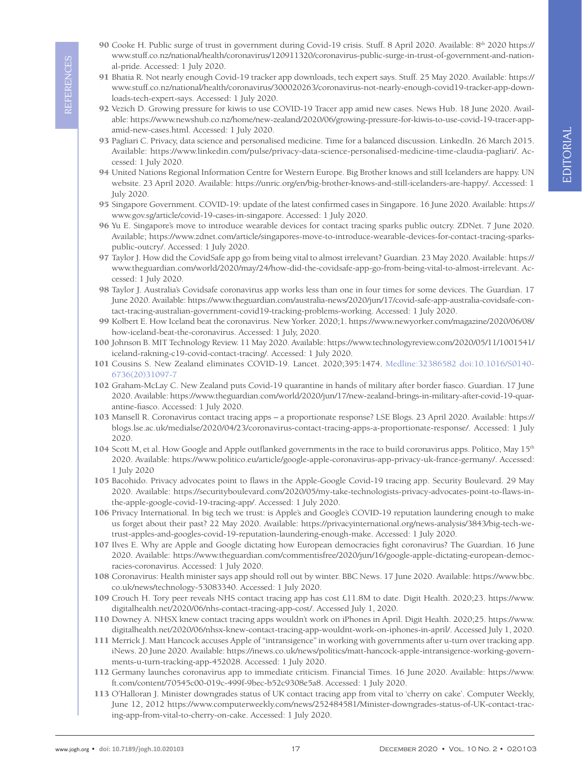- <span id="page-16-0"></span>90 Cooke H. Public surge of trust in government during Covid-19 crisis. Stuff. 8 April 2020. Available: 8<sup>th</sup> 2020 https:// www.stuff.co.nz/national/health/coronavirus/120911320/coronavirus-public-surge-in-trust-of-government-and-national-pride. Accessed: 1 July 2020.
- <span id="page-16-1"></span> 91 Bhatia R. Not nearly enough Covid-19 tracker app downloads, tech expert says. Stuff. 25 May 2020. Available: https:// www.stuff.co.nz/national/health/coronavirus/300020263/coronavirus-not-nearly-enough-covid19-tracker-app-downloads-tech-expert-says. Accessed: 1 July 2020.
- <span id="page-16-2"></span> 92 Vezich D. Growing pressure for kiwis to use COVID-19 Tracer app amid new cases. News Hub. 18 June 2020. Available: https://www.newshub.co.nz/home/new-zealand/2020/06/growing-pressure-for-kiwis-to-use-covid-19-tracer-appamid-new-cases.html. Accessed: 1 July 2020.
- <span id="page-16-3"></span> 93 Pagliari C. Privacy, data science and personalised medicine. Time for a balanced discussion. LinkedIn. 26 March 2015. Available: https://www.linkedin.com/pulse/privacy-data-science-personalised-medicine-time-claudia-pagliari/. Accessed: 1 July 2020.
- <span id="page-16-4"></span> 94 United Nations Regional Information Centre for Western Europe. Big Brother knows and still Icelanders are happy. UN website. 23 April 2020. Available: https://unric.org/en/big-brother-knows-and-still-icelanders-are-happy/. Accessed: 1 July 2020.
- <span id="page-16-5"></span> 95 Singapore Government. COVID-19: update of the latest confirmed cases in Singapore. 16 June 2020. Available: https:// www.gov.sg/article/covid-19-cases-in-singapore. Accessed: 1 July 2020.
- <span id="page-16-6"></span> 96 Yu E. Singapore's move to introduce wearable devices for contact tracing sparks public outcry. ZDNet. 7 June 2020. Available; https://www.zdnet.com/article/singapores-move-to-introduce-wearable-devices-for-contact-tracing-sparkspublic-outcry/. Accessed: 1 July 2020.
- <span id="page-16-7"></span> 97 Taylor J. How did the CovidSafe app go from being vital to almost irrelevant? Guardian. 23 May 2020. Available: https:// www.theguardian.com/world/2020/may/24/how-did-the-covidsafe-app-go-from-being-vital-to-almost-irrelevant. Accessed: 1 July 2020.
- <span id="page-16-8"></span> 98 Taylor J. Australia's Covidsafe coronavirus app works less than one in four times for some devices. The Guardian. 17 June 2020. Available: https://www.theguardian.com/australia-news/2020/jun/17/covid-safe-app-australia-covidsafe-contact-tracing-australian-government-covid19-tracking-problems-working. Accessed: 1 July 2020.
- <span id="page-16-9"></span> 99 Kolbert E. How Iceland beat the coronavirus. New Yorker. 2020;1. https://www.newyorker.com/magazine/2020/06/08/ how-iceland-beat-the-coronavirus. Accessed: 1 July, 2020.
- <span id="page-16-10"></span>100 Johnson B. MIT Technology Review. 11 May 2020. Available: https://www.technologyreview.com/2020/05/11/1001541/ iceland-rakning-c19-covid-contact-tracing/. Accessed: 1 July 2020.
- <span id="page-16-11"></span>101 Cousins S. New Zealand eliminates COVID-19. Lancet. 2020;395:1474. [Medline:32386582](https://www.ncbi.nlm.nih.gov/entrez/query.fcgi?cmd=Retrieve&db=PubMed&list_uids=32386582&dopt=Abstract) [doi:10.1016/S0140-](https://doi.org/10.1016/S0140-6736(20)31097-7) [6736\(20\)31097-7](https://doi.org/10.1016/S0140-6736(20)31097-7)
- <span id="page-16-12"></span>102 Graham-McLay C. New Zealand puts Covid-19 quarantine in hands of military after border fiasco. Guardian. 17 June 2020. Available: [https://www.theguardian.com/world/2020/jun/17/new-zealand-brings-in-military-after-covid-19-quar](https://www.theguardian.com/world/2020/jun/17/new-zealand-brings-in-military-after-covid-19-quarantine-fiasco)[antine-fiasco](https://www.theguardian.com/world/2020/jun/17/new-zealand-brings-in-military-after-covid-19-quarantine-fiasco). Accessed: 1 July 2020.
- <span id="page-16-13"></span>103 Mansell R. Coronavirus contact tracing apps – a proportionate response? LSE Blogs. 23 April 2020. Available: [https://](https://blogs.lse.ac.uk/medialse/2020/04/23/coronavirus-contact-tracing-apps-a-proportionate-response/) [blogs.lse.ac.uk/medialse/2020/04/23/coronavirus-contact-tracing-apps-a-proportionate-response/.](https://blogs.lse.ac.uk/medialse/2020/04/23/coronavirus-contact-tracing-apps-a-proportionate-response/) Accessed: 1 July 2020.
- <span id="page-16-14"></span>104 Scott M, et al. How Google and Apple outflanked governments in the race to build coronavirus apps. Politico, May 15th 2020. Available: https://www.politico.eu/article/google-apple-coronavirus-app-privacy-uk-france-germany/. Accessed: 1 July 2020
- <span id="page-16-15"></span>105 Bacohido. Privacy advocates point to flaws in the Apple-Google Covid-19 tracing app. Security Boulevard. 29 May 2020. Available: [https://securityboulevard.com/2020/05/my-take-technologists-privacy-advocates-point-to-flaws-in](https://securityboulevard.com/2020/05/my-take-technologists-privacy-advocates-point-to-flaws-in-the-apple-google-covid-19-tracing-app/)[the-apple-google-covid-19-tracing-app/](https://securityboulevard.com/2020/05/my-take-technologists-privacy-advocates-point-to-flaws-in-the-apple-google-covid-19-tracing-app/). Accessed: 1 July 2020.
- <span id="page-16-16"></span>106 Privacy International. In big tech we trust: is Apple's and Google's COVID-19 reputation laundering enough to make us forget about their past? 22 May 2020. Available: [https://privacyinternational.org/news-analysis/3843/big-tech-we](https://privacyinternational.org/news-analysis/3843/big-tech-we-trust-apples-and-googles-covid-19-reputation-laundering-enough-make)[trust-apples-and-googles-covid-19-reputation-laundering-enough-make.](https://privacyinternational.org/news-analysis/3843/big-tech-we-trust-apples-and-googles-covid-19-reputation-laundering-enough-make) Accessed: 1 July 2020.
- <span id="page-16-17"></span>107 Ilves E. Why are Apple and Google dictating how European democracies fight coronavirus? The Guardian. 16 June 2020. Available: [https://www.theguardian.com/commentisfree/2020/jun/16/google-apple-dictating-european-democ](https://www.theguardian.com/commentisfree/2020/jun/16/google-apple-dictating-european-democracies-coronavirus)[racies-coronavirus.](https://www.theguardian.com/commentisfree/2020/jun/16/google-apple-dictating-european-democracies-coronavirus) Accessed: 1 July 2020.
- <span id="page-16-18"></span>108 Coronavirus: Health minister says app should roll out by winter. BBC News. 17 June 2020. Available: [https://www.bbc.](https://www.bbc.co.uk/news/technology-53083340) [co.uk/news/technology-53083340](https://www.bbc.co.uk/news/technology-53083340). Accessed: 1 July 2020.
- <span id="page-16-19"></span>109 Crouch H. Tory peer reveals NHS contact tracing app has cost £11.8M to date. Digit Health. 2020;23. [https://www.](https://www.digitalhealth.net/2020/06/nhs-contact-tracing-app-cost/) [digitalhealth.net/2020/06/nhs-contact-tracing-app-cost/.](https://www.digitalhealth.net/2020/06/nhs-contact-tracing-app-cost/) Accessed July 1, 2020.
- <span id="page-16-20"></span>110 Downey A. NHSX knew contact tracing apps wouldn't work on iPhones in April. Digit Health. 2020;25. [https://www.](https://www.digitalhealth.net/2020/06/nhsx-knew-contact-tracing-app-wouldnt-work-on-iphones-in-april/) [digitalhealth.net/2020/06/nhsx-knew-contact-tracing-app-wouldnt-work-on-iphones-in-april/.](https://www.digitalhealth.net/2020/06/nhsx-knew-contact-tracing-app-wouldnt-work-on-iphones-in-april/) Accessed July 1, 2020.
- <span id="page-16-21"></span>111 Merrick J. Matt Hancock accuses Apple of "intransigence" in working with governments after u-turn over tracking app. iNews. 20 June 2020. Available: [https://inews.co.uk/news/politics/matt-hancock-apple-intransigence-working-govern](https://inews.co.uk/news/politics/matt-hancock-apple-intransigence-working-governments-u-turn-tracking-app-452028)[ments-u-turn-tracking-app-452028](https://inews.co.uk/news/politics/matt-hancock-apple-intransigence-working-governments-u-turn-tracking-app-452028). Accessed: 1 July 2020.
- <span id="page-16-22"></span>112 Germany launches coronavirus app to immediate criticism. Financial Times. 16 June 2020. Available: [https://www.](https://www.ft.com/content/70545c00-019c-499f-9bec-b52c9308e5a8) [ft.com/content/70545c00-019c-499f-9bec-b52c9308e5a8.](https://www.ft.com/content/70545c00-019c-499f-9bec-b52c9308e5a8) Accessed: 1 July 2020.
- <span id="page-16-23"></span>113 O'Halloran J. Minister downgrades status of UK contact tracing app from vital to 'cherry on cake'. Computer Weekly, June 12, 2012 [https://www.computerweekly.com/news/252484581/Minister-downgrades-status-of-UK-contact-trac](https://www.computerweekly.com/news/252484581/Minister-downgrades-status-of-UK-contact-tracing-app-from-vital-to-cherry-on-cake)[ing-app-from-vital-to-cherry-on-cake.](https://www.computerweekly.com/news/252484581/Minister-downgrades-status-of-UK-contact-tracing-app-from-vital-to-cherry-on-cake) Accessed: 1 July 2020.